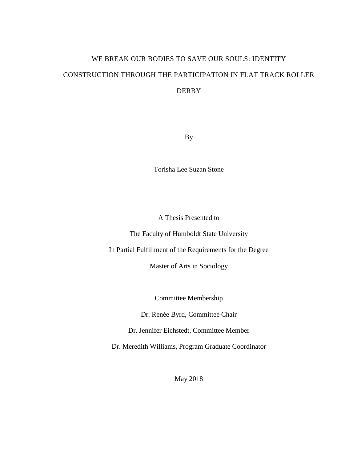# WE BREAK OUR BODIES TO SAVE OUR SOULS: IDENTITY CONSTRUCTION THROUGH THE PARTICIPATION IN FLAT TRACK ROLLER DERBY

By

Torisha Lee Suzan Stone

A Thesis Presented to

The Faculty of Humboldt State University

In Partial Fulfillment of the Requirements for the Degree

Master of Arts in Sociology

Committee Membership

Dr. Renée Byrd, Committee Chair

Dr. Jennifer Eichstedt, Committee Member

Dr. Meredith Williams, Program Graduate Coordinator

May 2018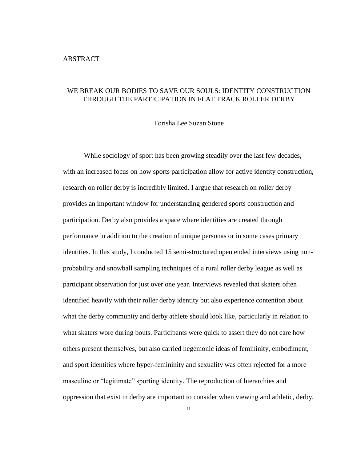# <span id="page-1-0"></span>WE BREAK OUR BODIES TO SAVE OUR SOULS: IDENTITY CONSTRUCTION THROUGH THE PARTICIPATION IN FLAT TRACK ROLLER DERBY

Torisha Lee Suzan Stone

While sociology of sport has been growing steadily over the last few decades, with an increased focus on how sports participation allow for active identity construction, research on roller derby is incredibly limited. I argue that research on roller derby provides an important window for understanding gendered sports construction and participation. Derby also provides a space where identities are created through performance in addition to the creation of unique personas or in some cases primary identities. In this study, I conducted 15 semi-structured open ended interviews using nonprobability and snowball sampling techniques of a rural roller derby league as well as participant observation for just over one year. Interviews revealed that skaters often identified heavily with their roller derby identity but also experience contention about what the derby community and derby athlete should look like, particularly in relation to what skaters wore during bouts. Participants were quick to assert they do not care how others present themselves, but also carried hegemonic ideas of femininity, embodiment, and sport identities where hyper-femininity and sexuality was often rejected for a more masculine or "legitimate" sporting identity. The reproduction of hierarchies and oppression that exist in derby are important to consider when viewing and athletic, derby,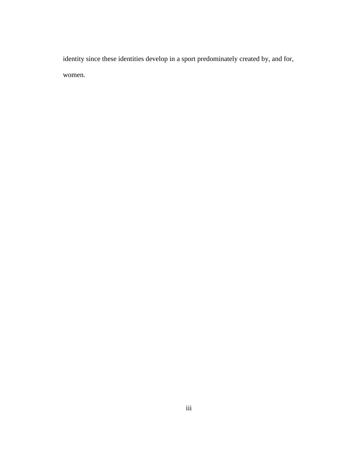identity since these identities develop in a sport predominately created by, and for, women.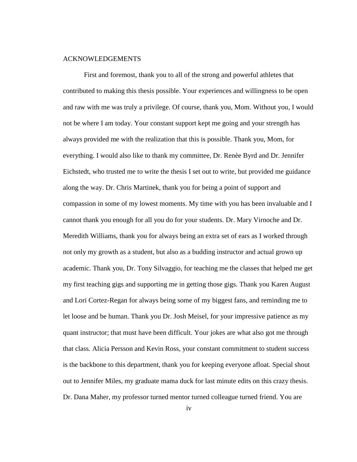### <span id="page-3-0"></span>ACKNOWLEDGEMENTS

First and foremost, thank you to all of the strong and powerful athletes that contributed to making this thesis possible. Your experiences and willingness to be open and raw with me was truly a privilege. Of course, thank you, Mom. Without you, I would not be where I am today. Your constant support kept me going and your strength has always provided me with the realization that this is possible. Thank you, Mom, for everything. I would also like to thank my committee, Dr. Renèe Byrd and Dr. Jennifer Eichstedt, who trusted me to write the thesis I set out to write, but provided me guidance along the way. Dr. Chris Martinek, thank you for being a point of support and compassion in some of my lowest moments. My time with you has been invaluable and I cannot thank you enough for all you do for your students. Dr. Mary Virnoche and Dr. Meredith Williams, thank you for always being an extra set of ears as I worked through not only my growth as a student, but also as a budding instructor and actual grown up academic. Thank you, Dr. Tony Silvaggio, for teaching me the classes that helped me get my first teaching gigs and supporting me in getting those gigs. Thank you Karen August and Lori Cortez-Regan for always being some of my biggest fans, and reminding me to let loose and be human. Thank you Dr. Josh Meisel, for your impressive patience as my quant instructor; that must have been difficult. Your jokes are what also got me through that class. Alicia Persson and Kevin Ross, your constant commitment to student success is the backbone to this department, thank you for keeping everyone afloat. Special shout out to Jennifer Miles, my graduate mama duck for last minute edits on this crazy thesis. Dr. Dana Maher, my professor turned mentor turned colleague turned friend. You are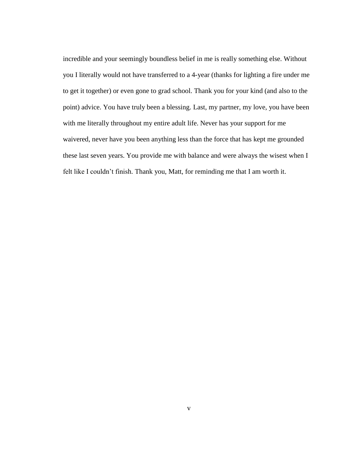incredible and your seemingly boundless belief in me is really something else. Without you I literally would not have transferred to a 4-year (thanks for lighting a fire under me to get it together) or even gone to grad school. Thank you for your kind (and also to the point) advice. You have truly been a blessing. Last, my partner, my love, you have been with me literally throughout my entire adult life. Never has your support for me waivered, never have you been anything less than the force that has kept me grounded these last seven years. You provide me with balance and were always the wisest when I felt like I couldn't finish. Thank you, Matt, for reminding me that I am worth it.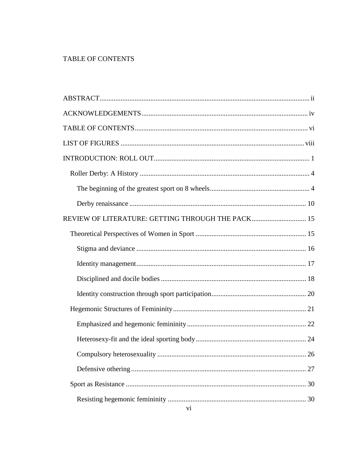# <span id="page-5-0"></span>TABLE OF CONTENTS

| REVIEW OF LITERATURE: GETTING THROUGH THE PACK 15 |  |
|---------------------------------------------------|--|
|                                                   |  |
|                                                   |  |
|                                                   |  |
|                                                   |  |
|                                                   |  |
|                                                   |  |
|                                                   |  |
|                                                   |  |
|                                                   |  |
|                                                   |  |
|                                                   |  |
|                                                   |  |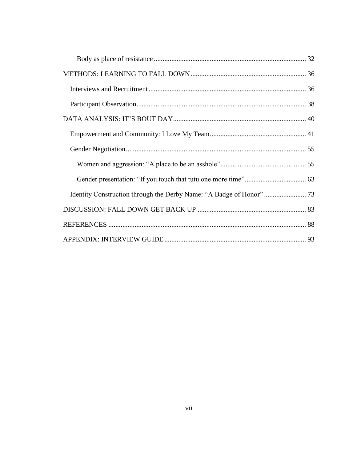| Identity Construction through the Derby Name: "A Badge of Honor"  73 |  |
|----------------------------------------------------------------------|--|
|                                                                      |  |
|                                                                      |  |
|                                                                      |  |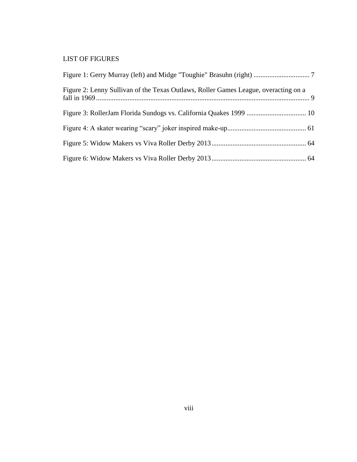# <span id="page-7-0"></span>LIST OF FIGURES

| Figure 2: Lenny Sullivan of the Texas Outlaws, Roller Games League, overacting on a |  |
|-------------------------------------------------------------------------------------|--|
|                                                                                     |  |
|                                                                                     |  |
|                                                                                     |  |
|                                                                                     |  |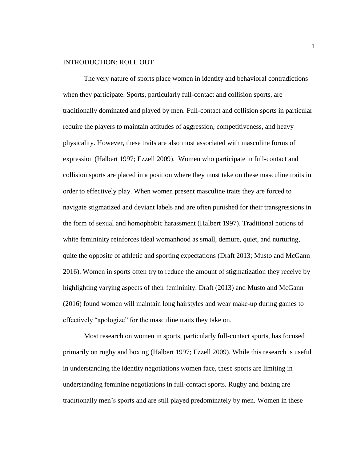# <span id="page-8-0"></span>INTRODUCTION: ROLL OUT

The very nature of sports place women in identity and behavioral contradictions when they participate. Sports, particularly full-contact and collision sports, are traditionally dominated and played by men. Full-contact and collision sports in particular require the players to maintain attitudes of aggression, competitiveness, and heavy physicality. However, these traits are also most associated with masculine forms of expression (Halbert 1997; Ezzell 2009). Women who participate in full-contact and collision sports are placed in a position where they must take on these masculine traits in order to effectively play. When women present masculine traits they are forced to navigate stigmatized and deviant labels and are often punished for their transgressions in the form of sexual and homophobic harassment (Halbert 1997). Traditional notions of white femininity reinforces ideal womanhood as small, demure, quiet, and nurturing, quite the opposite of athletic and sporting expectations (Draft 2013; Musto and McGann 2016). Women in sports often try to reduce the amount of stigmatization they receive by highlighting varying aspects of their femininity. Draft (2013) and Musto and McGann (2016) found women will maintain long hairstyles and wear make-up during games to effectively "apologize" for the masculine traits they take on.

Most research on women in sports, particularly full-contact sports, has focused primarily on rugby and boxing (Halbert 1997; Ezzell 2009). While this research is useful in understanding the identity negotiations women face, these sports are limiting in understanding feminine negotiations in full-contact sports. Rugby and boxing are traditionally men's sports and are still played predominately by men. Women in these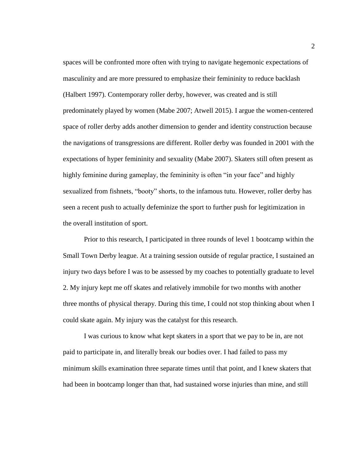spaces will be confronted more often with trying to navigate hegemonic expectations of masculinity and are more pressured to emphasize their femininity to reduce backlash (Halbert 1997). Contemporary roller derby, however, was created and is still predominately played by women (Mabe 2007; Atwell 2015). I argue the women-centered space of roller derby adds another dimension to gender and identity construction because the navigations of transgressions are different. Roller derby was founded in 2001 with the expectations of hyper femininity and sexuality (Mabe 2007). Skaters still often present as highly feminine during gameplay, the femininity is often "in your face" and highly sexualized from fishnets, "booty" shorts, to the infamous tutu. However, roller derby has seen a recent push to actually defeminize the sport to further push for legitimization in the overall institution of sport.

Prior to this research, I participated in three rounds of level 1 bootcamp within the Small Town Derby league. At a training session outside of regular practice, I sustained an injury two days before I was to be assessed by my coaches to potentially graduate to level 2. My injury kept me off skates and relatively immobile for two months with another three months of physical therapy. During this time, I could not stop thinking about when I could skate again. My injury was the catalyst for this research.

I was curious to know what kept skaters in a sport that we pay to be in, are not paid to participate in, and literally break our bodies over. I had failed to pass my minimum skills examination three separate times until that point, and I knew skaters that had been in bootcamp longer than that, had sustained worse injuries than mine, and still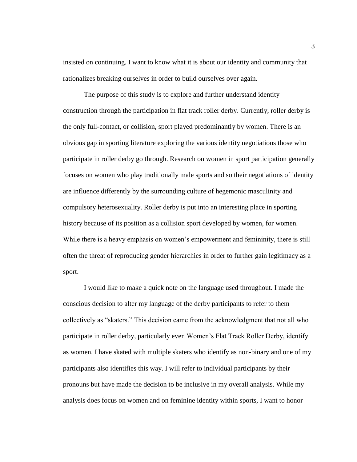insisted on continuing. I want to know what it is about our identity and community that rationalizes breaking ourselves in order to build ourselves over again.

The purpose of this study is to explore and further understand identity construction through the participation in flat track roller derby. Currently, roller derby is the only full-contact, or collision, sport played predominantly by women. There is an obvious gap in sporting literature exploring the various identity negotiations those who participate in roller derby go through. Research on women in sport participation generally focuses on women who play traditionally male sports and so their negotiations of identity are influence differently by the surrounding culture of hegemonic masculinity and compulsory heterosexuality. Roller derby is put into an interesting place in sporting history because of its position as a collision sport developed by women, for women. While there is a heavy emphasis on women's empowerment and femininity, there is still often the threat of reproducing gender hierarchies in order to further gain legitimacy as a sport.

I would like to make a quick note on the language used throughout. I made the conscious decision to alter my language of the derby participants to refer to them collectively as "skaters." This decision came from the acknowledgment that not all who participate in roller derby, particularly even Women's Flat Track Roller Derby, identify as women. I have skated with multiple skaters who identify as non-binary and one of my participants also identifies this way. I will refer to individual participants by their pronouns but have made the decision to be inclusive in my overall analysis. While my analysis does focus on women and on feminine identity within sports, I want to honor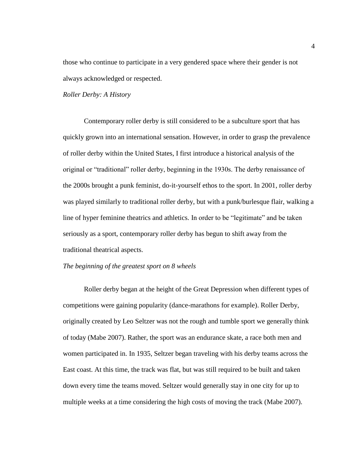those who continue to participate in a very gendered space where their gender is not always acknowledged or respected.

#### <span id="page-11-0"></span>*Roller Derby: A History*

Contemporary roller derby is still considered to be a subculture sport that has quickly grown into an international sensation. However, in order to grasp the prevalence of roller derby within the United States, I first introduce a historical analysis of the original or "traditional" roller derby, beginning in the 1930s. The derby renaissance of the 2000s brought a punk feminist, do-it-yourself ethos to the sport. In 2001, roller derby was played similarly to traditional roller derby, but with a punk/burlesque flair, walking a line of hyper feminine theatrics and athletics. In order to be "legitimate" and be taken seriously as a sport, contemporary roller derby has begun to shift away from the traditional theatrical aspects.

# <span id="page-11-1"></span>*The beginning of the greatest sport on 8 wheels*

Roller derby began at the height of the Great Depression when different types of competitions were gaining popularity (dance-marathons for example). Roller Derby, originally created by Leo Seltzer was not the rough and tumble sport we generally think of today (Mabe 2007). Rather, the sport was an endurance skate, a race both men and women participated in. In 1935, Seltzer began traveling with his derby teams across the East coast. At this time, the track was flat, but was still required to be built and taken down every time the teams moved. Seltzer would generally stay in one city for up to multiple weeks at a time considering the high costs of moving the track (Mabe 2007).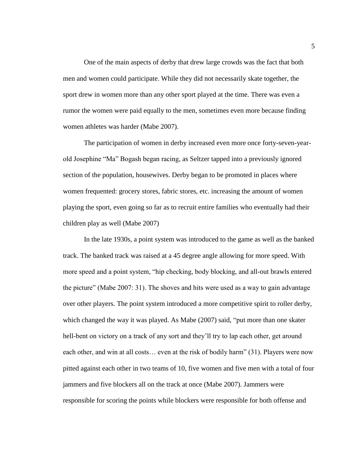One of the main aspects of derby that drew large crowds was the fact that both men and women could participate. While they did not necessarily skate together, the sport drew in women more than any other sport played at the time. There was even a rumor the women were paid equally to the men, sometimes even more because finding women athletes was harder (Mabe 2007).

The participation of women in derby increased even more once forty-seven-yearold Josephine "Ma" Bogash began racing, as Seltzer tapped into a previously ignored section of the population, housewives. Derby began to be promoted in places where women frequented: grocery stores, fabric stores, etc. increasing the amount of women playing the sport, even going so far as to recruit entire families who eventually had their children play as well (Mabe 2007)

In the late 1930s, a point system was introduced to the game as well as the banked track. The banked track was raised at a 45 degree angle allowing for more speed. With more speed and a point system, "hip checking, body blocking, and all-out brawls entered the picture" (Mabe 2007: 31). The shoves and hits were used as a way to gain advantage over other players. The point system introduced a more competitive spirit to roller derby, which changed the way it was played. As Mabe (2007) said, "put more than one skater hell-bent on victory on a track of any sort and they'll try to lap each other, get around each other, and win at all costs… even at the risk of bodily harm" (31). Players were now pitted against each other in two teams of 10, five women and five men with a total of four jammers and five blockers all on the track at once (Mabe 2007). Jammers were responsible for scoring the points while blockers were responsible for both offense and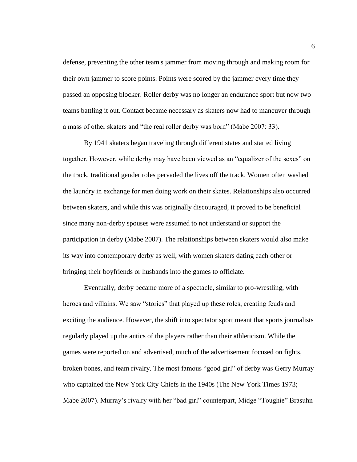defense, preventing the other team's jammer from moving through and making room for their own jammer to score points. Points were scored by the jammer every time they passed an opposing blocker. Roller derby was no longer an endurance sport but now two teams battling it out. Contact became necessary as skaters now had to maneuver through a mass of other skaters and "the real roller derby was born" (Mabe 2007: 33).

By 1941 skaters began traveling through different states and started living together. However, while derby may have been viewed as an "equalizer of the sexes" on the track, traditional gender roles pervaded the lives off the track. Women often washed the laundry in exchange for men doing work on their skates. Relationships also occurred between skaters, and while this was originally discouraged, it proved to be beneficial since many non-derby spouses were assumed to not understand or support the participation in derby (Mabe 2007). The relationships between skaters would also make its way into contemporary derby as well, with women skaters dating each other or bringing their boyfriends or husbands into the games to officiate.

Eventually, derby became more of a spectacle, similar to pro-wrestling, with heroes and villains. We saw "stories" that played up these roles, creating feuds and exciting the audience. However, the shift into spectator sport meant that sports journalists regularly played up the antics of the players rather than their athleticism. While the games were reported on and advertised, much of the advertisement focused on fights, broken bones, and team rivalry. The most famous "good girl" of derby was Gerry Murray who captained the New York City Chiefs in the 1940s (The New York Times 1973; Mabe 2007). Murray's rivalry with her "bad girl" counterpart, Midge "Toughie" Brasuhn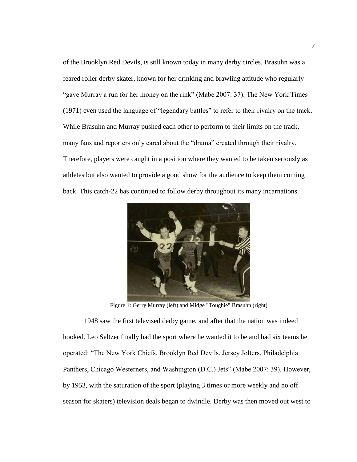of the Brooklyn Red Devils, is still known today in many derby circles. Brasuhn was a feared roller derby skater, known for her drinking and brawling attitude who regularly "gave Murray a run for her money on the rink" (Mabe 2007: 37). The New York Times (1971) even used the language of "legendary battles" to refer to their rivalry on the track. While Brasuhn and Murray pushed each other to perform to their limits on the track, many fans and reporters only cared about the "drama" created through their rivalry. Therefore, players were caught in a position where they wanted to be taken seriously as athletes but also wanted to provide a good show for the audience to keep them coming back. This catch-22 has continued to follow derby throughout its many incarnations.



Figure 1: Gerry Murray (left) and Midge "Toughie" Brasuhn (right)

<span id="page-14-0"></span>1948 saw the first televised derby game, and after that the nation was indeed hooked. Leo Seltzer finally had the sport where he wanted it to be and had six teams he operated: "The New York Chiefs, Brooklyn Red Devils, Jersey Jolters, Philadelphia Panthers, Chicago Westerners, and Washington (D.C.) Jets" (Mabe 2007: 39). However, by 1953, with the saturation of the sport (playing 3 times or more weekly and no off season for skaters) television deals began to dwindle. Derby was then moved out west to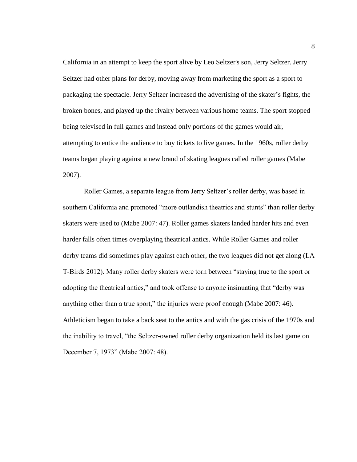California in an attempt to keep the sport alive by Leo Seltzer's son, Jerry Seltzer. Jerry Seltzer had other plans for derby, moving away from marketing the sport as a sport to packaging the spectacle. Jerry Seltzer increased the advertising of the skater's fights, the broken bones, and played up the rivalry between various home teams. The sport stopped being televised in full games and instead only portions of the games would air, attempting to entice the audience to buy tickets to live games. In the 1960s, roller derby teams began playing against a new brand of skating leagues called roller games (Mabe 2007).

Roller Games, a separate league from Jerry Seltzer's roller derby, was based in southern California and promoted "more outlandish theatrics and stunts" than roller derby skaters were used to (Mabe 2007: 47). Roller games skaters landed harder hits and even harder falls often times overplaying theatrical antics. While Roller Games and roller derby teams did sometimes play against each other, the two leagues did not get along (LA T-Birds 2012). Many roller derby skaters were torn between "staying true to the sport or adopting the theatrical antics," and took offense to anyone insinuating that "derby was anything other than a true sport," the injuries were proof enough (Mabe 2007: 46). Athleticism began to take a back seat to the antics and with the gas crisis of the 1970s and the inability to travel, "the Seltzer-owned roller derby organization held its last game on December 7, 1973" (Mabe 2007: 48).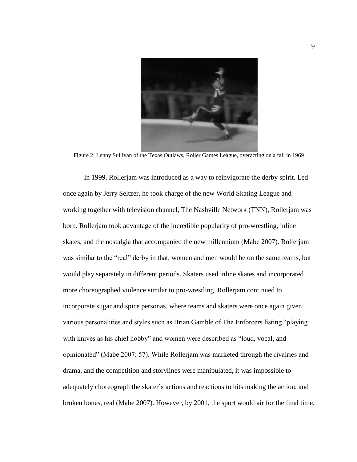

Figure 2: Lenny Sullivan of the Texas Outlaws, Roller Games League, overacting on a fall in 1969

<span id="page-16-0"></span>In 1999, Rollerjam was introduced as a way to reinvigorate the derby spirit. Led once again by Jerry Seltzer, he took charge of the new World Skating League and working together with television channel, The Nashville Network (TNN), Rollerjam was born. Rollerjam took advantage of the incredible popularity of pro-wrestling, inline skates, and the nostalgia that accompanied the new millennium (Mabe 2007). Rollerjam was similar to the "real" derby in that, women and men would be on the same teams, but would play separately in different periods. Skaters used inline skates and incorporated more choreographed violence similar to pro-wrestling. Rollerjam continued to incorporate sugar and spice personas, where teams and skaters were once again given various personalities and styles such as Brian Gamble of The Enforcers listing "playing with knives as his chief hobby" and women were described as "loud, vocal, and opinionated" (Mabe 2007: 57). While Rollerjam was marketed through the rivalries and drama, and the competition and storylines were manipulated, it was impossible to adequately choreograph the skater's actions and reactions to hits making the action, and broken bones, real (Mabe 2007). However, by 2001, the sport would air for the final time.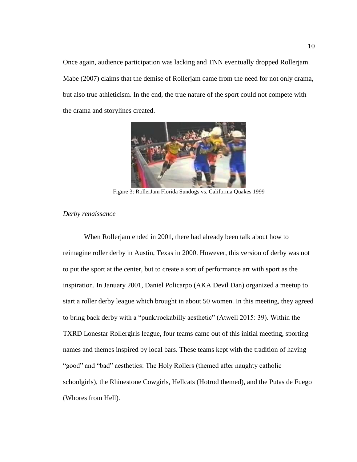Once again, audience participation was lacking and TNN eventually dropped Rollerjam. Mabe (2007) claims that the demise of Rollerjam came from the need for not only drama, but also true athleticism. In the end, the true nature of the sport could not compete with the drama and storylines created.



Figure 3: RollerJam Florida Sundogs vs. California Quakes 1999

# <span id="page-17-1"></span><span id="page-17-0"></span>*Derby renaissance*

When Rollerjam ended in 2001, there had already been talk about how to reimagine roller derby in Austin, Texas in 2000. However, this version of derby was not to put the sport at the center, but to create a sort of performance art with sport as the inspiration. In January 2001, Daniel Policarpo (AKA Devil Dan) organized a meetup to start a roller derby league which brought in about 50 women. In this meeting, they agreed to bring back derby with a "punk/rockabilly aesthetic" (Atwell 2015: 39). Within the TXRD Lonestar Rollergirls league, four teams came out of this initial meeting, sporting names and themes inspired by local bars. These teams kept with the tradition of having "good" and "bad" aesthetics: The Holy Rollers (themed after naughty catholic schoolgirls), the Rhinestone Cowgirls, Hellcats (Hotrod themed), and the Putas de Fuego (Whores from Hell).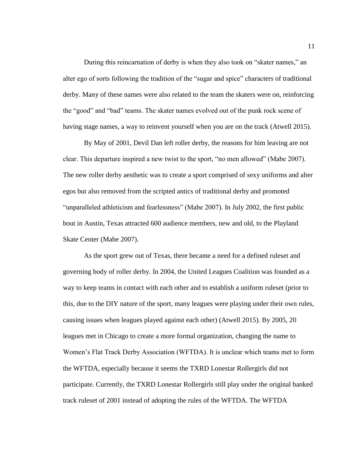During this reincarnation of derby is when they also took on "skater names," an alter ego of sorts following the tradition of the "sugar and spice" characters of traditional derby. Many of these names were also related to the team the skaters were on, reinforcing the "good" and "bad" teams. The skater names evolved out of the punk rock scene of having stage names, a way to reinvent yourself when you are on the track (Atwell 2015).

By May of 2001, Devil Dan left roller derby, the reasons for him leaving are not clear. This departure inspired a new twist to the sport, "no men allowed" (Mabe 2007). The new roller derby aesthetic was to create a sport comprised of sexy uniforms and alter egos but also removed from the scripted antics of traditional derby and promoted "unparalleled athleticism and fearlessness" (Mabe 2007). In July 2002, the first public bout in Austin, Texas attracted 600 audience members, new and old, to the Playland Skate Center (Mabe 2007).

As the sport grew out of Texas, there became a need for a defined ruleset and governing body of roller derby. In 2004, the United Leagues Coalition was founded as a way to keep teams in contact with each other and to establish a uniform ruleset (prior to this, due to the DIY nature of the sport, many leagues were playing under their own rules, causing issues when leagues played against each other) (Atwell 2015). By 2005, 20 leagues met in Chicago to create a more formal organization, changing the name to Women's Flat Track Derby Association (WFTDA). It is unclear which teams met to form the WFTDA, especially because it seems the TXRD Lonestar Rollergirls did not participate. Currently, the TXRD Lonestar Rollergirls still play under the original banked track ruleset of 2001 instead of adopting the rules of the WFTDA. The WFTDA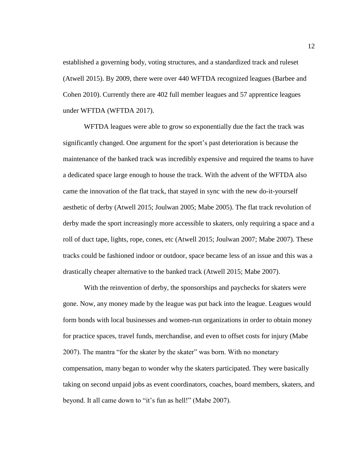established a governing body, voting structures, and a standardized track and ruleset (Atwell 2015). By 2009, there were over 440 WFTDA recognized leagues (Barbee and Cohen 2010). Currently there are 402 full member leagues and 57 apprentice leagues under WFTDA (WFTDA 2017).

WFTDA leagues were able to grow so exponentially due the fact the track was significantly changed. One argument for the sport's past deterioration is because the maintenance of the banked track was incredibly expensive and required the teams to have a dedicated space large enough to house the track. With the advent of the WFTDA also came the innovation of the flat track, that stayed in sync with the new do-it-yourself aesthetic of derby (Atwell 2015; Joulwan 2005; Mabe 2005). The flat track revolution of derby made the sport increasingly more accessible to skaters, only requiring a space and a roll of duct tape, lights, rope, cones, etc (Atwell 2015; Joulwan 2007; Mabe 2007). These tracks could be fashioned indoor or outdoor, space became less of an issue and this was a drastically cheaper alternative to the banked track (Atwell 2015; Mabe 2007).

With the reinvention of derby, the sponsorships and paychecks for skaters were gone. Now, any money made by the league was put back into the league. Leagues would form bonds with local businesses and women-run organizations in order to obtain money for practice spaces, travel funds, merchandise, and even to offset costs for injury (Mabe 2007). The mantra "for the skater by the skater" was born. With no monetary compensation, many began to wonder why the skaters participated. They were basically taking on second unpaid jobs as event coordinators, coaches, board members, skaters, and beyond. It all came down to "it's fun as hell!" (Mabe 2007).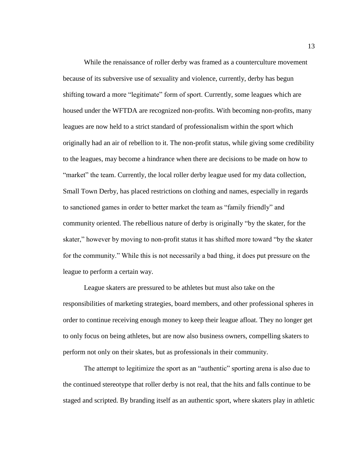While the renaissance of roller derby was framed as a counterculture movement because of its subversive use of sexuality and violence, currently, derby has begun shifting toward a more "legitimate" form of sport. Currently, some leagues which are housed under the WFTDA are recognized non-profits. With becoming non-profits, many leagues are now held to a strict standard of professionalism within the sport which originally had an air of rebellion to it. The non-profit status, while giving some credibility to the leagues, may become a hindrance when there are decisions to be made on how to "market" the team. Currently, the local roller derby league used for my data collection, Small Town Derby, has placed restrictions on clothing and names, especially in regards to sanctioned games in order to better market the team as "family friendly" and community oriented. The rebellious nature of derby is originally "by the skater, for the skater," however by moving to non-profit status it has shifted more toward "by the skater for the community." While this is not necessarily a bad thing, it does put pressure on the league to perform a certain way.

League skaters are pressured to be athletes but must also take on the responsibilities of marketing strategies, board members, and other professional spheres in order to continue receiving enough money to keep their league afloat. They no longer get to only focus on being athletes, but are now also business owners, compelling skaters to perform not only on their skates, but as professionals in their community.

The attempt to legitimize the sport as an "authentic" sporting arena is also due to the continued stereotype that roller derby is not real, that the hits and falls continue to be staged and scripted. By branding itself as an authentic sport, where skaters play in athletic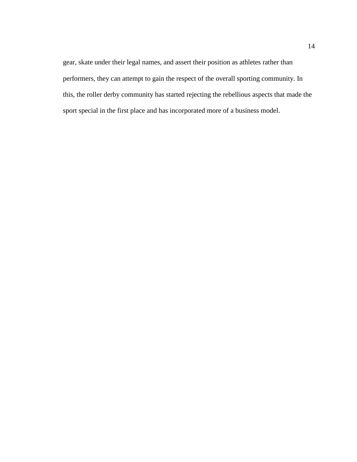gear, skate under their legal names, and assert their position as athletes rather than performers, they can attempt to gain the respect of the overall sporting community. In this, the roller derby community has started rejecting the rebellious aspects that made the sport special in the first place and has incorporated more of a business model.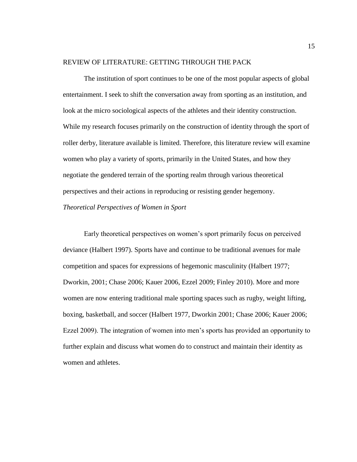# <span id="page-22-0"></span>REVIEW OF LITERATURE: GETTING THROUGH THE PACK

The institution of sport continues to be one of the most popular aspects of global entertainment. I seek to shift the conversation away from sporting as an institution, and look at the micro sociological aspects of the athletes and their identity construction. While my research focuses primarily on the construction of identity through the sport of roller derby, literature available is limited. Therefore, this literature review will examine women who play a variety of sports, primarily in the United States, and how they negotiate the gendered terrain of the sporting realm through various theoretical perspectives and their actions in reproducing or resisting gender hegemony. *Theoretical Perspectives of Women in Sport*

<span id="page-22-1"></span>Early theoretical perspectives on women's sport primarily focus on perceived deviance (Halbert 1997). Sports have and continue to be traditional avenues for male competition and spaces for expressions of hegemonic masculinity (Halbert 1977; Dworkin, 2001; Chase 2006; Kauer 2006, Ezzel 2009; Finley 2010). More and more women are now entering traditional male sporting spaces such as rugby, weight lifting, boxing, basketball, and soccer (Halbert 1977, Dworkin 2001; Chase 2006; Kauer 2006; Ezzel 2009). The integration of women into men's sports has provided an opportunity to further explain and discuss what women do to construct and maintain their identity as women and athletes.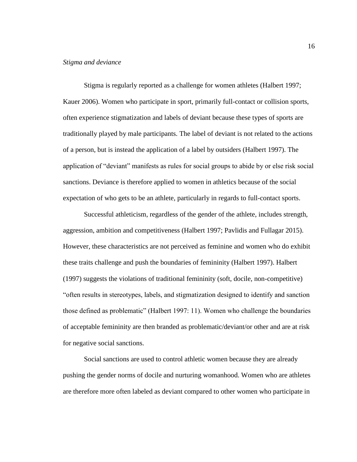# <span id="page-23-0"></span>*Stigma and deviance*

Stigma is regularly reported as a challenge for women athletes (Halbert 1997; Kauer 2006). Women who participate in sport, primarily full-contact or collision sports, often experience stigmatization and labels of deviant because these types of sports are traditionally played by male participants. The label of deviant is not related to the actions of a person, but is instead the application of a label by outsiders (Halbert 1997). The application of "deviant" manifests as rules for social groups to abide by or else risk social sanctions. Deviance is therefore applied to women in athletics because of the social expectation of who gets to be an athlete, particularly in regards to full-contact sports.

Successful athleticism, regardless of the gender of the athlete, includes strength, aggression, ambition and competitiveness (Halbert 1997; Pavlidis and Fullagar 2015). However, these characteristics are not perceived as feminine and women who do exhibit these traits challenge and push the boundaries of femininity (Halbert 1997). Halbert (1997) suggests the violations of traditional femininity (soft, docile, non-competitive) "often results in stereotypes, labels, and stigmatization designed to identify and sanction those defined as problematic" (Halbert 1997: 11). Women who challenge the boundaries of acceptable femininity are then branded as problematic/deviant/or other and are at risk for negative social sanctions.

Social sanctions are used to control athletic women because they are already pushing the gender norms of docile and nurturing womanhood. Women who are athletes are therefore more often labeled as deviant compared to other women who participate in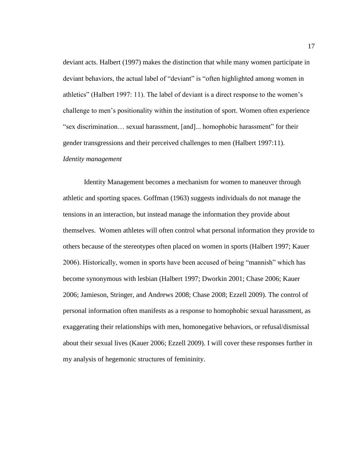deviant acts. Halbert (1997) makes the distinction that while many women participate in deviant behaviors, the actual label of "deviant" is "often highlighted among women in athletics" (Halbert 1997: 11). The label of deviant is a direct response to the women's challenge to men's positionality within the institution of sport. Women often experience "sex discrimination… sexual harassment, [and]... homophobic harassment" for their gender transgressions and their perceived challenges to men (Halbert 1997:11). *Identity management*

<span id="page-24-0"></span>Identity Management becomes a mechanism for women to maneuver through athletic and sporting spaces. Goffman (1963) suggests individuals do not manage the tensions in an interaction, but instead manage the information they provide about themselves. Women athletes will often control what personal information they provide to others because of the stereotypes often placed on women in sports (Halbert 1997; Kauer 2006). Historically, women in sports have been accused of being "mannish" which has become synonymous with lesbian (Halbert 1997; Dworkin 2001; Chase 2006; Kauer 2006; Jamieson, Stringer, and Andrews 2008; Chase 2008; Ezzell 2009). The control of personal information often manifests as a response to homophobic sexual harassment, as exaggerating their relationships with men, homonegative behaviors, or refusal/dismissal about their sexual lives (Kauer 2006; Ezzell 2009). I will cover these responses further in my analysis of hegemonic structures of femininity.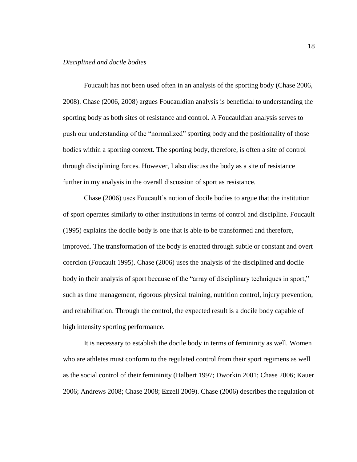#### <span id="page-25-0"></span>*Disciplined and docile bodies*

Foucault has not been used often in an analysis of the sporting body (Chase 2006, 2008). Chase (2006, 2008) argues Foucauldian analysis is beneficial to understanding the sporting body as both sites of resistance and control. A Foucauldian analysis serves to push our understanding of the "normalized" sporting body and the positionality of those bodies within a sporting context. The sporting body, therefore, is often a site of control through disciplining forces. However, I also discuss the body as a site of resistance further in my analysis in the overall discussion of sport as resistance.

Chase (2006) uses Foucault's notion of docile bodies to argue that the institution of sport operates similarly to other institutions in terms of control and discipline. Foucault (1995) explains the docile body is one that is able to be transformed and therefore, improved. The transformation of the body is enacted through subtle or constant and overt coercion (Foucault 1995). Chase (2006) uses the analysis of the disciplined and docile body in their analysis of sport because of the "array of disciplinary techniques in sport," such as time management, rigorous physical training, nutrition control, injury prevention, and rehabilitation. Through the control, the expected result is a docile body capable of high intensity sporting performance.

It is necessary to establish the docile body in terms of femininity as well. Women who are athletes must conform to the regulated control from their sport regimens as well as the social control of their femininity (Halbert 1997; Dworkin 2001; Chase 2006; Kauer 2006; Andrews 2008; Chase 2008; Ezzell 2009). Chase (2006) describes the regulation of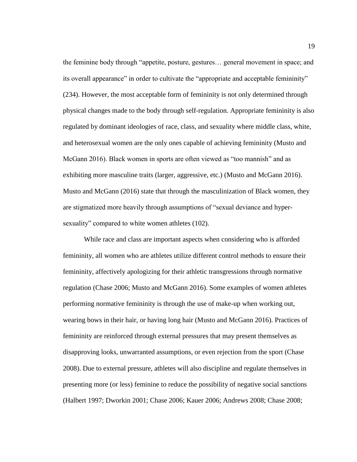the feminine body through "appetite, posture, gestures… general movement in space; and its overall appearance" in order to cultivate the "appropriate and acceptable femininity" (234). However, the most acceptable form of femininity is not only determined through physical changes made to the body through self-regulation. Appropriate femininity is also regulated by dominant ideologies of race, class, and sexuality where middle class, white, and heterosexual women are the only ones capable of achieving femininity (Musto and McGann 2016). Black women in sports are often viewed as "too mannish" and as exhibiting more masculine traits (larger, aggressive, etc.) (Musto and McGann 2016). Musto and McGann (2016) state that through the masculinization of Black women, they are stigmatized more heavily through assumptions of "sexual deviance and hypersexuality" compared to white women athletes (102).

While race and class are important aspects when considering who is afforded femininity, all women who are athletes utilize different control methods to ensure their femininity, affectively apologizing for their athletic transgressions through normative regulation (Chase 2006; Musto and McGann 2016). Some examples of women athletes performing normative femininity is through the use of make-up when working out, wearing bows in their hair, or having long hair (Musto and McGann 2016). Practices of femininity are reinforced through external pressures that may present themselves as disapproving looks, unwarranted assumptions, or even rejection from the sport (Chase 2008). Due to external pressure, athletes will also discipline and regulate themselves in presenting more (or less) feminine to reduce the possibility of negative social sanctions (Halbert 1997; Dworkin 2001; Chase 2006; Kauer 2006; Andrews 2008; Chase 2008;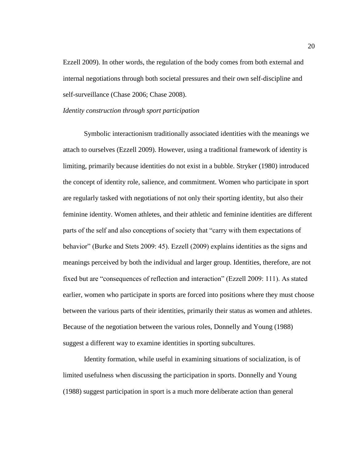Ezzell 2009). In other words, the regulation of the body comes from both external and internal negotiations through both societal pressures and their own self-discipline and self-surveillance (Chase 2006; Chase 2008).

#### <span id="page-27-0"></span>*Identity construction through sport participation*

Symbolic interactionism traditionally associated identities with the meanings we attach to ourselves (Ezzell 2009). However, using a traditional framework of identity is limiting, primarily because identities do not exist in a bubble. Stryker (1980) introduced the concept of identity role, salience, and commitment. Women who participate in sport are regularly tasked with negotiations of not only their sporting identity, but also their feminine identity. Women athletes, and their athletic and feminine identities are different parts of the self and also conceptions of society that "carry with them expectations of behavior" (Burke and Stets 2009: 45). Ezzell (2009) explains identities as the signs and meanings perceived by both the individual and larger group. Identities, therefore, are not fixed but are "consequences of reflection and interaction" (Ezzell 2009: 111). As stated earlier, women who participate in sports are forced into positions where they must choose between the various parts of their identities, primarily their status as women and athletes. Because of the negotiation between the various roles, Donnelly and Young (1988) suggest a different way to examine identities in sporting subcultures.

Identity formation, while useful in examining situations of socialization, is of limited usefulness when discussing the participation in sports. Donnelly and Young (1988) suggest participation in sport is a much more deliberate action than general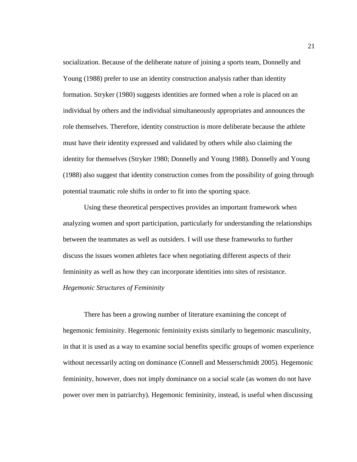socialization. Because of the deliberate nature of joining a sports team, Donnelly and Young (1988) prefer to use an identity construction analysis rather than identity formation. Stryker (1980) suggests identities are formed when a role is placed on an individual by others and the individual simultaneously appropriates and announces the role themselves. Therefore, identity construction is more deliberate because the athlete must have their identity expressed and validated by others while also claiming the identity for themselves (Stryker 1980; Donnelly and Young 1988). Donnelly and Young (1988) also suggest that identity construction comes from the possibility of going through potential traumatic role shifts in order to fit into the sporting space.

Using these theoretical perspectives provides an important framework when analyzing women and sport participation, particularly for understanding the relationships between the teammates as well as outsiders. I will use these frameworks to further discuss the issues women athletes face when negotiating different aspects of their femininity as well as how they can incorporate identities into sites of resistance. *Hegemonic Structures of Femininity*

<span id="page-28-0"></span>There has been a growing number of literature examining the concept of hegemonic femininity. Hegemonic femininity exists similarly to hegemonic masculinity, in that it is used as a way to examine social benefits specific groups of women experience without necessarily acting on dominance (Connell and Messerschmidt 2005). Hegemonic femininity, however, does not imply dominance on a social scale (as women do not have power over men in patriarchy). Hegemonic femininity, instead, is useful when discussing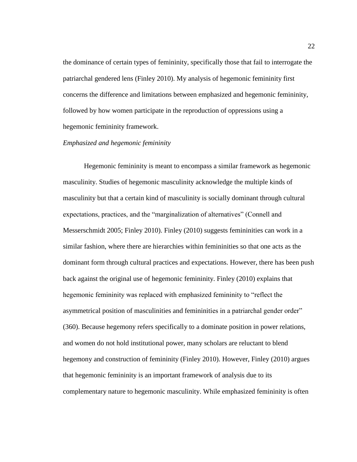the dominance of certain types of femininity, specifically those that fail to interrogate the patriarchal gendered lens (Finley 2010). My analysis of hegemonic femininity first concerns the difference and limitations between emphasized and hegemonic femininity, followed by how women participate in the reproduction of oppressions using a hegemonic femininity framework.

# <span id="page-29-0"></span>*Emphasized and hegemonic femininity*

Hegemonic femininity is meant to encompass a similar framework as hegemonic masculinity. Studies of hegemonic masculinity acknowledge the multiple kinds of masculinity but that a certain kind of masculinity is socially dominant through cultural expectations, practices, and the "marginalization of alternatives" (Connell and Messerschmidt 2005; Finley 2010). Finley (2010) suggests femininities can work in a similar fashion, where there are hierarchies within femininities so that one acts as the dominant form through cultural practices and expectations. However, there has been push back against the original use of hegemonic femininity. Finley (2010) explains that hegemonic femininity was replaced with emphasized femininity to "reflect the asymmetrical position of masculinities and femininities in a patriarchal gender order" (360). Because hegemony refers specifically to a dominate position in power relations, and women do not hold institutional power, many scholars are reluctant to blend hegemony and construction of femininity (Finley 2010). However, Finley (2010) argues that hegemonic femininity is an important framework of analysis due to its complementary nature to hegemonic masculinity. While emphasized femininity is often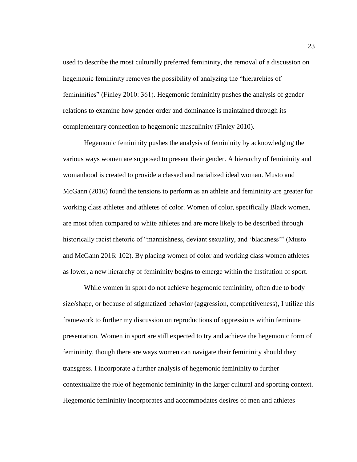used to describe the most culturally preferred femininity, the removal of a discussion on hegemonic femininity removes the possibility of analyzing the "hierarchies of femininities" (Finley 2010: 361). Hegemonic femininity pushes the analysis of gender relations to examine how gender order and dominance is maintained through its complementary connection to hegemonic masculinity (Finley 2010).

Hegemonic femininity pushes the analysis of femininity by acknowledging the various ways women are supposed to present their gender. A hierarchy of femininity and womanhood is created to provide a classed and racialized ideal woman. Musto and McGann (2016) found the tensions to perform as an athlete and femininity are greater for working class athletes and athletes of color. Women of color, specifically Black women, are most often compared to white athletes and are more likely to be described through historically racist rhetoric of "mannishness, deviant sexuality, and 'blackness'" (Musto and McGann 2016: 102). By placing women of color and working class women athletes as lower, a new hierarchy of femininity begins to emerge within the institution of sport.

While women in sport do not achieve hegemonic femininity, often due to body size/shape, or because of stigmatized behavior (aggression, competitiveness), I utilize this framework to further my discussion on reproductions of oppressions within feminine presentation. Women in sport are still expected to try and achieve the hegemonic form of femininity, though there are ways women can navigate their femininity should they transgress. I incorporate a further analysis of hegemonic femininity to further contextualize the role of hegemonic femininity in the larger cultural and sporting context. Hegemonic femininity incorporates and accommodates desires of men and athletes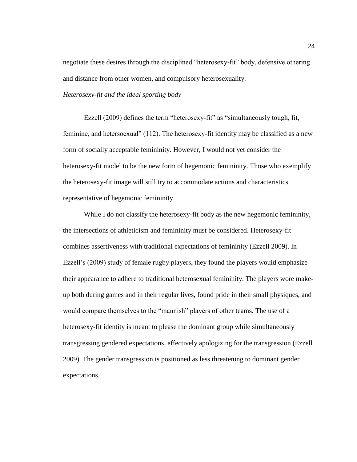negotiate these desires through the disciplined "heterosexy-fit" body, defensive othering and distance from other women, and compulsory heterosexuality.

## <span id="page-31-0"></span>*Heterosexy-fit and the ideal sporting body*

Ezzell (2009) defines the term "heterosexy-fit" as "simultaneously tough, fit, feminine, and hetersoexual" (112). The heterosexy-fit identity may be classified as a new form of socially acceptable femininity. However, I would not yet consider the heterosexy-fit model to be the new form of hegemonic femininity. Those who exemplify the heterosexy-fit image will still try to accommodate actions and characteristics representative of hegemonic femininity.

While I do not classify the heterosexy-fit body as the new hegemonic femininity, the intersections of athleticism and femininity must be considered. Heterosexy-fit combines assertiveness with traditional expectations of femininity (Ezzell 2009). In Ezzell's (2009) study of female rugby players, they found the players would emphasize their appearance to adhere to traditional heterosexual femininity. The players wore makeup both during games and in their regular lives, found pride in their small physiques, and would compare themselves to the "mannish" players of other teams. The use of a heterosexy-fit identity is meant to please the dominant group while simultaneously transgressing gendered expectations, effectively apologizing for the transgression (Ezzell 2009). The gender transgression is positioned as less threatening to dominant gender expectations.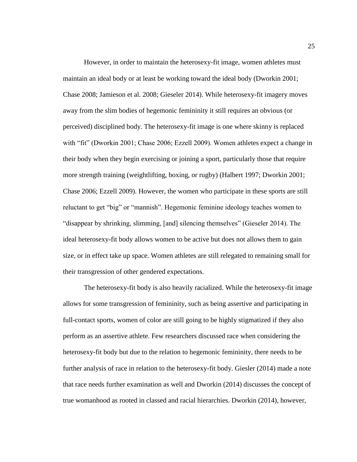However, in order to maintain the heterosexy-fit image, women athletes must maintain an ideal body or at least be working toward the ideal body (Dworkin 2001; Chase 2008; Jamieson et al. 2008; Gieseler 2014). While heterosexy-fit imagery moves away from the slim bodies of hegemonic femininity it still requires an obvious (or perceived) disciplined body. The heterosexy-fit image is one where skinny is replaced with "fit" (Dworkin 2001; Chase 2006; Ezzell 2009). Women athletes expect a change in their body when they begin exercising or joining a sport, particularly those that require more strength training (weightlifting, boxing, or rugby) (Halbert 1997; Dworkin 2001; Chase 2006; Ezzell 2009). However, the women who participate in these sports are still reluctant to get "big" or "mannish". Hegemonic feminine ideology teaches women to "disappear by shrinking, slimming, [and] silencing themselves" (Gieseler 2014). The ideal heterosexy-fit body allows women to be active but does not allows them to gain size, or in effect take up space. Women athletes are still relegated to remaining small for their transgression of other gendered expectations.

The heterosexy-fit body is also heavily racialized. While the heterosexy-fit image allows for some transgression of femininity, such as being assertive and participating in full-contact sports, women of color are still going to be highly stigmatized if they also perform as an assertive athlete. Few researchers discussed race when considering the heterosexy-fit body but due to the relation to hegemonic femininity, there needs to be further analysis of race in relation to the heterosexy-fit body. Giesler (2014) made a note that race needs further examination as well and Dworkin (2014) discusses the concept of true womanhood as rooted in classed and racial hierarchies. Dworkin (2014), however,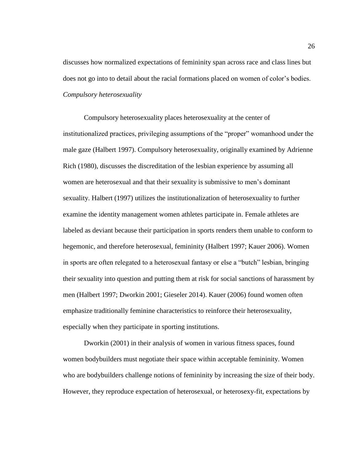discusses how normalized expectations of femininity span across race and class lines but does not go into to detail about the racial formations placed on women of color's bodies. *Compulsory heterosexuality*

<span id="page-33-0"></span>Compulsory heterosexuality places heterosexuality at the center of institutionalized practices, privileging assumptions of the "proper" womanhood under the male gaze (Halbert 1997). Compulsory heterosexuality, originally examined by Adrienne Rich (1980), discusses the discreditation of the lesbian experience by assuming all women are heterosexual and that their sexuality is submissive to men's dominant sexuality. Halbert (1997) utilizes the institutionalization of heterosexuality to further examine the identity management women athletes participate in. Female athletes are labeled as deviant because their participation in sports renders them unable to conform to hegemonic, and therefore heterosexual, femininity (Halbert 1997; Kauer 2006). Women in sports are often relegated to a heterosexual fantasy or else a "butch" lesbian, bringing their sexuality into question and putting them at risk for social sanctions of harassment by men (Halbert 1997; Dworkin 2001; Gieseler 2014). Kauer (2006) found women often emphasize traditionally feminine characteristics to reinforce their heterosexuality, especially when they participate in sporting institutions.

Dworkin (2001) in their analysis of women in various fitness spaces, found women bodybuilders must negotiate their space within acceptable femininity. Women who are bodybuilders challenge notions of femininity by increasing the size of their body. However, they reproduce expectation of heterosexual, or heterosexy-fit, expectations by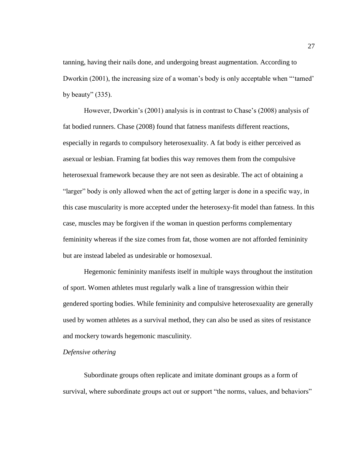tanning, having their nails done, and undergoing breast augmentation. According to Dworkin (2001), the increasing size of a woman's body is only acceptable when "'tamed' by beauty"  $(335)$ .

However, Dworkin's (2001) analysis is in contrast to Chase's (2008) analysis of fat bodied runners. Chase (2008) found that fatness manifests different reactions, especially in regards to compulsory heterosexuality. A fat body is either perceived as asexual or lesbian. Framing fat bodies this way removes them from the compulsive heterosexual framework because they are not seen as desirable. The act of obtaining a "larger" body is only allowed when the act of getting larger is done in a specific way, in this case muscularity is more accepted under the heterosexy-fit model than fatness. In this case, muscles may be forgiven if the woman in question performs complementary femininity whereas if the size comes from fat, those women are not afforded femininity but are instead labeled as undesirable or homosexual.

Hegemonic femininity manifests itself in multiple ways throughout the institution of sport. Women athletes must regularly walk a line of transgression within their gendered sporting bodies. While femininity and compulsive heterosexuality are generally used by women athletes as a survival method, they can also be used as sites of resistance and mockery towards hegemonic masculinity.

#### <span id="page-34-0"></span>*Defensive othering*

Subordinate groups often replicate and imitate dominant groups as a form of survival, where subordinate groups act out or support "the norms, values, and behaviors"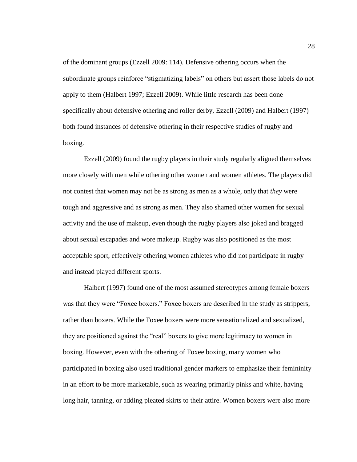of the dominant groups (Ezzell 2009: 114). Defensive othering occurs when the subordinate groups reinforce "stigmatizing labels" on others but assert those labels do not apply to them (Halbert 1997; Ezzell 2009). While little research has been done specifically about defensive othering and roller derby, Ezzell (2009) and Halbert (1997) both found instances of defensive othering in their respective studies of rugby and boxing.

Ezzell (2009) found the rugby players in their study regularly aligned themselves more closely with men while othering other women and women athletes. The players did not contest that women may not be as strong as men as a whole, only that *they* were tough and aggressive and as strong as men. They also shamed other women for sexual activity and the use of makeup, even though the rugby players also joked and bragged about sexual escapades and wore makeup. Rugby was also positioned as the most acceptable sport, effectively othering women athletes who did not participate in rugby and instead played different sports.

Halbert (1997) found one of the most assumed stereotypes among female boxers was that they were "Foxee boxers." Foxee boxers are described in the study as strippers, rather than boxers. While the Foxee boxers were more sensationalized and sexualized, they are positioned against the "real" boxers to give more legitimacy to women in boxing. However, even with the othering of Foxee boxing, many women who participated in boxing also used traditional gender markers to emphasize their femininity in an effort to be more marketable, such as wearing primarily pinks and white, having long hair, tanning, or adding pleated skirts to their attire. Women boxers were also more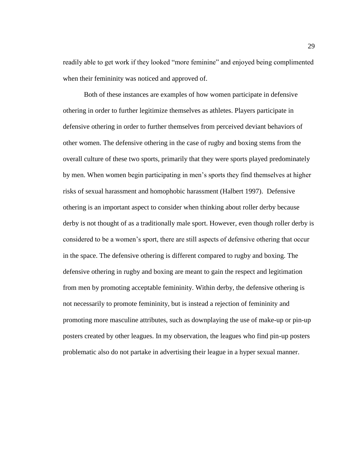readily able to get work if they looked "more feminine" and enjoyed being complimented when their femininity was noticed and approved of.

Both of these instances are examples of how women participate in defensive othering in order to further legitimize themselves as athletes. Players participate in defensive othering in order to further themselves from perceived deviant behaviors of other women. The defensive othering in the case of rugby and boxing stems from the overall culture of these two sports, primarily that they were sports played predominately by men. When women begin participating in men's sports they find themselves at higher risks of sexual harassment and homophobic harassment (Halbert 1997). Defensive othering is an important aspect to consider when thinking about roller derby because derby is not thought of as a traditionally male sport. However, even though roller derby is considered to be a women's sport, there are still aspects of defensive othering that occur in the space. The defensive othering is different compared to rugby and boxing. The defensive othering in rugby and boxing are meant to gain the respect and legitimation from men by promoting acceptable femininity. Within derby, the defensive othering is not necessarily to promote femininity, but is instead a rejection of femininity and promoting more masculine attributes, such as downplaying the use of make-up or pin-up posters created by other leagues. In my observation, the leagues who find pin-up posters problematic also do not partake in advertising their league in a hyper sexual manner.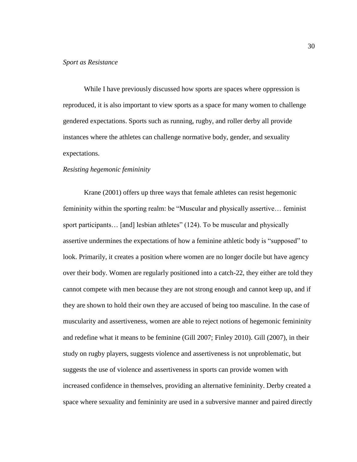While I have previously discussed how sports are spaces where oppression is reproduced, it is also important to view sports as a space for many women to challenge gendered expectations. Sports such as running, rugby, and roller derby all provide instances where the athletes can challenge normative body, gender, and sexuality expectations.

#### *Resisting hegemonic femininity*

Krane (2001) offers up three ways that female athletes can resist hegemonic femininity within the sporting realm: be "Muscular and physically assertive… feminist sport participants... [and] lesbian athletes" (124). To be muscular and physically assertive undermines the expectations of how a feminine athletic body is "supposed" to look. Primarily, it creates a position where women are no longer docile but have agency over their body. Women are regularly positioned into a catch-22, they either are told they cannot compete with men because they are not strong enough and cannot keep up, and if they are shown to hold their own they are accused of being too masculine. In the case of muscularity and assertiveness, women are able to reject notions of hegemonic femininity and redefine what it means to be feminine (Gill 2007; Finley 2010). Gill (2007), in their study on rugby players, suggests violence and assertiveness is not unproblematic, but suggests the use of violence and assertiveness in sports can provide women with increased confidence in themselves, providing an alternative femininity. Derby created a space where sexuality and femininity are used in a subversive manner and paired directly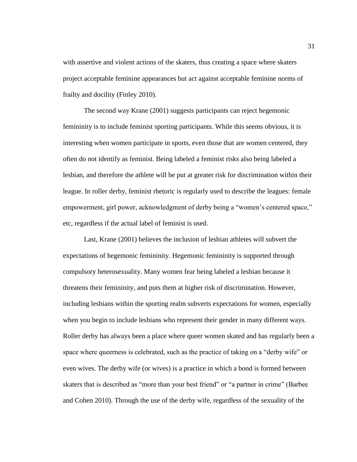with assertive and violent actions of the skaters, thus creating a space where skaters project acceptable feminine appearances but act against acceptable feminine norms of frailty and docility (Finley 2010).

The second way Krane (2001) suggests participants can reject hegemonic femininity is to include feminist sporting participants. While this seems obvious, it is interesting when women participate in sports, even those that are women centered, they often do not identify as feminist. Being labeled a feminist risks also being labeled a lesbian, and therefore the athlete will be put at greater risk for discrimination within their league. In roller derby, feminist rhetoric is regularly used to describe the leagues: female empowerment, girl power, acknowledgment of derby being a "women's centered space," etc, regardless if the actual label of feminist is used.

Last, Krane (2001) believes the inclusion of lesbian athletes will subvert the expectations of hegemonic femininity. Hegemonic femininity is supported through compulsory heterosexuality. Many women fear being labeled a lesbian because it threatens their femininity, and puts them at higher risk of discrimination. However, including lesbians within the sporting realm subverts expectations for women, especially when you begin to include lesbians who represent their gender in many different ways. Roller derby has always been a place where queer women skated and has regularly been a space where queerness is celebrated, such as the practice of taking on a "derby wife" or even wives. The derby wife (or wives) is a practice in which a bond is formed between skaters that is described as "more than your best friend" or "a partner in crime" (Barbee and Cohen 2010). Through the use of the derby wife, regardless of the sexuality of the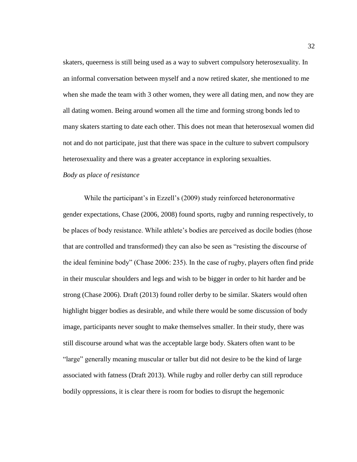skaters, queerness is still being used as a way to subvert compulsory heterosexuality. In an informal conversation between myself and a now retired skater, she mentioned to me when she made the team with 3 other women, they were all dating men, and now they are all dating women. Being around women all the time and forming strong bonds led to many skaters starting to date each other. This does not mean that heterosexual women did not and do not participate, just that there was space in the culture to subvert compulsory heterosexuality and there was a greater acceptance in exploring sexualties.

*Body as place of resistance*

While the participant's in Ezzell's (2009) study reinforced heteronormative gender expectations, Chase (2006, 2008) found sports, rugby and running respectively, to be places of body resistance. While athlete's bodies are perceived as docile bodies (those that are controlled and transformed) they can also be seen as "resisting the discourse of the ideal feminine body" (Chase 2006: 235). In the case of rugby, players often find pride in their muscular shoulders and legs and wish to be bigger in order to hit harder and be strong (Chase 2006). Draft (2013) found roller derby to be similar. Skaters would often highlight bigger bodies as desirable, and while there would be some discussion of body image, participants never sought to make themselves smaller. In their study, there was still discourse around what was the acceptable large body. Skaters often want to be "large" generally meaning muscular or taller but did not desire to be the kind of large associated with fatness (Draft 2013). While rugby and roller derby can still reproduce bodily oppressions, it is clear there is room for bodies to disrupt the hegemonic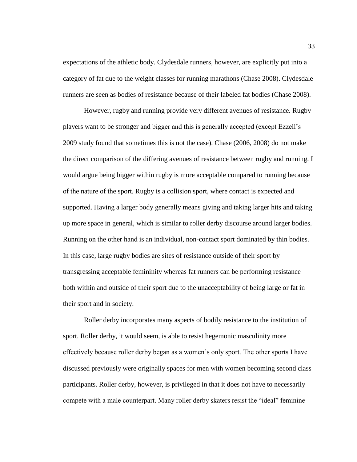expectations of the athletic body. Clydesdale runners, however, are explicitly put into a category of fat due to the weight classes for running marathons (Chase 2008). Clydesdale runners are seen as bodies of resistance because of their labeled fat bodies (Chase 2008).

However, rugby and running provide very different avenues of resistance. Rugby players want to be stronger and bigger and this is generally accepted (except Ezzell's 2009 study found that sometimes this is not the case). Chase (2006, 2008) do not make the direct comparison of the differing avenues of resistance between rugby and running. I would argue being bigger within rugby is more acceptable compared to running because of the nature of the sport. Rugby is a collision sport, where contact is expected and supported. Having a larger body generally means giving and taking larger hits and taking up more space in general, which is similar to roller derby discourse around larger bodies. Running on the other hand is an individual, non-contact sport dominated by thin bodies. In this case, large rugby bodies are sites of resistance outside of their sport by transgressing acceptable femininity whereas fat runners can be performing resistance both within and outside of their sport due to the unacceptability of being large or fat in their sport and in society.

Roller derby incorporates many aspects of bodily resistance to the institution of sport. Roller derby, it would seem, is able to resist hegemonic masculinity more effectively because roller derby began as a women's only sport. The other sports I have discussed previously were originally spaces for men with women becoming second class participants. Roller derby, however, is privileged in that it does not have to necessarily compete with a male counterpart. Many roller derby skaters resist the "ideal" feminine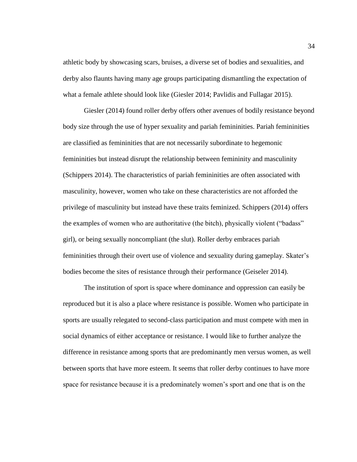athletic body by showcasing scars, bruises, a diverse set of bodies and sexualities, and derby also flaunts having many age groups participating dismantling the expectation of what a female athlete should look like (Giesler 2014; Pavlidis and Fullagar 2015).

Giesler (2014) found roller derby offers other avenues of bodily resistance beyond body size through the use of hyper sexuality and pariah femininities. Pariah femininities are classified as femininities that are not necessarily subordinate to hegemonic femininities but instead disrupt the relationship between femininity and masculinity (Schippers 2014). The characteristics of pariah femininities are often associated with masculinity, however, women who take on these characteristics are not afforded the privilege of masculinity but instead have these traits feminized. Schippers (2014) offers the examples of women who are authoritative (the bitch), physically violent ("badass" girl), or being sexually noncompliant (the slut). Roller derby embraces pariah femininities through their overt use of violence and sexuality during gameplay. Skater's bodies become the sites of resistance through their performance (Geiseler 2014).

The institution of sport is space where dominance and oppression can easily be reproduced but it is also a place where resistance is possible. Women who participate in sports are usually relegated to second-class participation and must compete with men in social dynamics of either acceptance or resistance. I would like to further analyze the difference in resistance among sports that are predominantly men versus women, as well between sports that have more esteem. It seems that roller derby continues to have more space for resistance because it is a predominately women's sport and one that is on the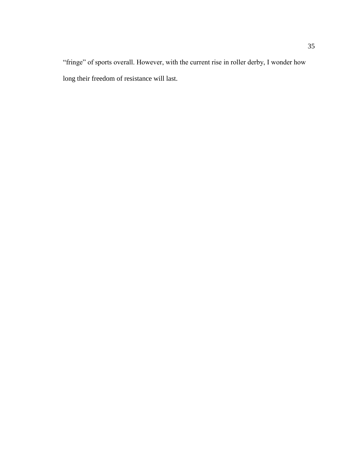"fringe" of sports overall. However, with the current rise in roller derby, I wonder how long their freedom of resistance will last.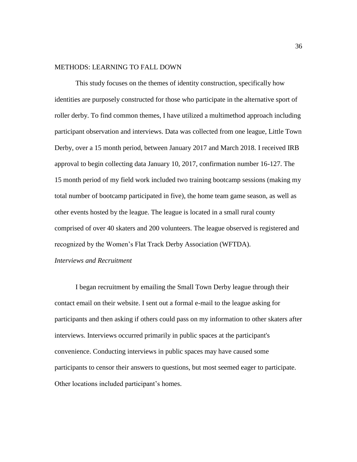## METHODS: LEARNING TO FALL DOWN

This study focuses on the themes of identity construction, specifically how identities are purposely constructed for those who participate in the alternative sport of roller derby. To find common themes, I have utilized a multimethod approach including participant observation and interviews. Data was collected from one league, Little Town Derby, over a 15 month period, between January 2017 and March 2018. I received IRB approval to begin collecting data January 10, 2017, confirmation number 16-127. The 15 month period of my field work included two training bootcamp sessions (making my total number of bootcamp participated in five), the home team game season, as well as other events hosted by the league. The league is located in a small rural county comprised of over 40 skaters and 200 volunteers. The league observed is registered and recognized by the Women's Flat Track Derby Association (WFTDA).

## *Interviews and Recruitment*

I began recruitment by emailing the Small Town Derby league through their contact email on their website. I sent out a formal e-mail to the league asking for participants and then asking if others could pass on my information to other skaters after interviews. Interviews occurred primarily in public spaces at the participant's convenience. Conducting interviews in public spaces may have caused some participants to censor their answers to questions, but most seemed eager to participate. Other locations included participant's homes.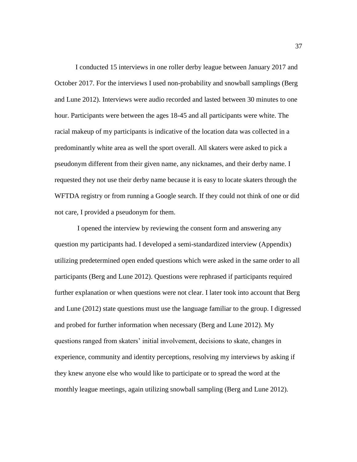I conducted 15 interviews in one roller derby league between January 2017 and October 2017. For the interviews I used non-probability and snowball samplings (Berg and Lune 2012). Interviews were audio recorded and lasted between 30 minutes to one hour. Participants were between the ages 18-45 and all participants were white. The racial makeup of my participants is indicative of the location data was collected in a predominantly white area as well the sport overall. All skaters were asked to pick a pseudonym different from their given name, any nicknames, and their derby name. I requested they not use their derby name because it is easy to locate skaters through the WFTDA registry or from running a Google search. If they could not think of one or did not care, I provided a pseudonym for them.

I opened the interview by reviewing the consent form and answering any question my participants had. I developed a semi-standardized interview (Appendix) utilizing predetermined open ended questions which were asked in the same order to all participants (Berg and Lune 2012). Questions were rephrased if participants required further explanation or when questions were not clear. I later took into account that Berg and Lune (2012) state questions must use the language familiar to the group. I digressed and probed for further information when necessary (Berg and Lune 2012). My questions ranged from skaters' initial involvement, decisions to skate, changes in experience, community and identity perceptions, resolving my interviews by asking if they knew anyone else who would like to participate or to spread the word at the monthly league meetings, again utilizing snowball sampling (Berg and Lune 2012).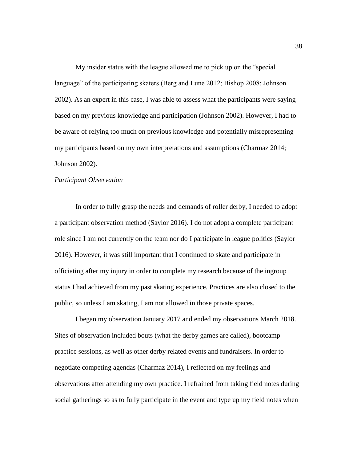My insider status with the league allowed me to pick up on the "special language" of the participating skaters (Berg and Lune 2012; Bishop 2008; Johnson 2002). As an expert in this case, I was able to assess what the participants were saying based on my previous knowledge and participation (Johnson 2002). However, I had to be aware of relying too much on previous knowledge and potentially misrepresenting my participants based on my own interpretations and assumptions (Charmaz 2014; Johnson 2002).

### *Participant Observation*

In order to fully grasp the needs and demands of roller derby, I needed to adopt a participant observation method (Saylor 2016). I do not adopt a complete participant role since I am not currently on the team nor do I participate in league politics (Saylor 2016). However, it was still important that I continued to skate and participate in officiating after my injury in order to complete my research because of the ingroup status I had achieved from my past skating experience. Practices are also closed to the public, so unless I am skating, I am not allowed in those private spaces.

I began my observation January 2017 and ended my observations March 2018. Sites of observation included bouts (what the derby games are called), bootcamp practice sessions, as well as other derby related events and fundraisers. In order to negotiate competing agendas (Charmaz 2014), I reflected on my feelings and observations after attending my own practice. I refrained from taking field notes during social gatherings so as to fully participate in the event and type up my field notes when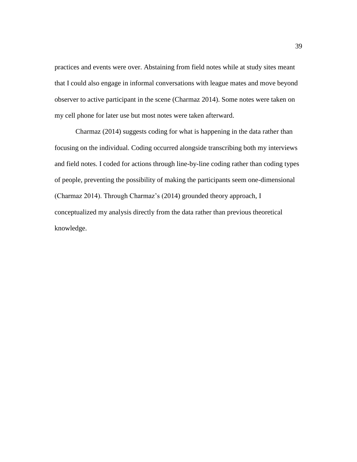practices and events were over. Abstaining from field notes while at study sites meant that I could also engage in informal conversations with league mates and move beyond observer to active participant in the scene (Charmaz 2014). Some notes were taken on my cell phone for later use but most notes were taken afterward.

Charmaz (2014) suggests coding for what is happening in the data rather than focusing on the individual. Coding occurred alongside transcribing both my interviews and field notes. I coded for actions through line-by-line coding rather than coding types of people, preventing the possibility of making the participants seem one-dimensional (Charmaz 2014). Through Charmaz's (2014) grounded theory approach, I conceptualized my analysis directly from the data rather than previous theoretical knowledge.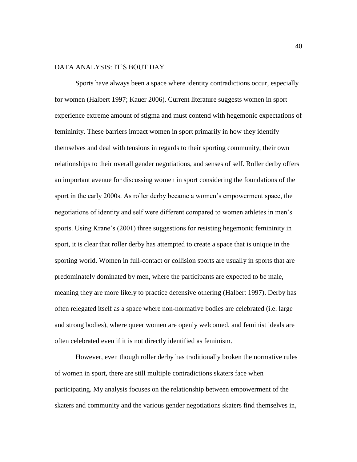# DATA ANALYSIS: IT'S BOUT DAY

Sports have always been a space where identity contradictions occur, especially for women (Halbert 1997; Kauer 2006). Current literature suggests women in sport experience extreme amount of stigma and must contend with hegemonic expectations of femininity. These barriers impact women in sport primarily in how they identify themselves and deal with tensions in regards to their sporting community, their own relationships to their overall gender negotiations, and senses of self. Roller derby offers an important avenue for discussing women in sport considering the foundations of the sport in the early 2000s. As roller derby became a women's empowerment space, the negotiations of identity and self were different compared to women athletes in men's sports. Using Krane's (2001) three suggestions for resisting hegemonic femininity in sport, it is clear that roller derby has attempted to create a space that is unique in the sporting world. Women in full-contact or collision sports are usually in sports that are predominately dominated by men, where the participants are expected to be male, meaning they are more likely to practice defensive othering (Halbert 1997). Derby has often relegated itself as a space where non-normative bodies are celebrated (i.e. large and strong bodies), where queer women are openly welcomed, and feminist ideals are often celebrated even if it is not directly identified as feminism.

However, even though roller derby has traditionally broken the normative rules of women in sport, there are still multiple contradictions skaters face when participating. My analysis focuses on the relationship between empowerment of the skaters and community and the various gender negotiations skaters find themselves in,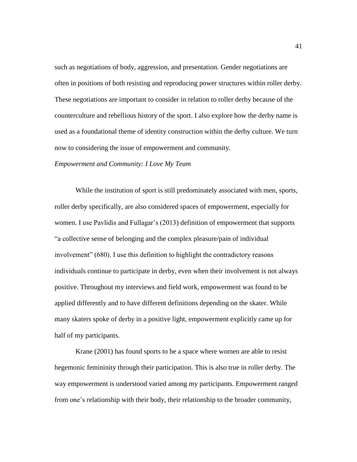such as negotiations of body, aggression, and presentation. Gender negotiations are often in positions of both resisting and reproducing power structures within roller derby. These negotiations are important to consider in relation to roller derby because of the counterculture and rebellious history of the sport. I also explore how the derby name is used as a foundational theme of identity construction within the derby culture. We turn now to considering the issue of empowerment and community.

*Empowerment and Community: I Love My Team*

While the institution of sport is still predominately associated with men, sports, roller derby specifically, are also considered spaces of empowerment, especially for women. I use Pavlidis and Fullagar's (2013) definition of empowerment that supports "a collective sense of belonging and the complex pleasure/pain of individual involvement" (680). I use this definition to highlight the contradictory reasons individuals continue to participate in derby, even when their involvement is not always positive. Throughout my interviews and field work, empowerment was found to be applied differently and to have different definitions depending on the skater. While many skaters spoke of derby in a positive light, empowerment explicitly came up for half of my participants.

Krane (2001) has found sports to be a space where women are able to resist hegemonic femininity through their participation. This is also true in roller derby. The way empowerment is understood varied among my participants. Empowerment ranged from one's relationship with their body, their relationship to the broader community,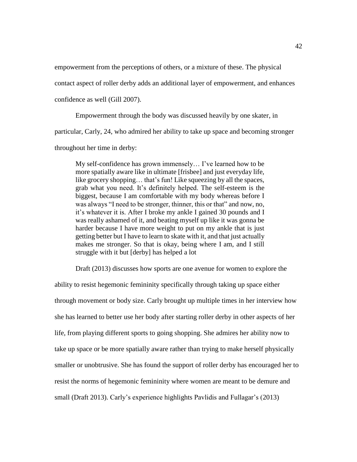empowerment from the perceptions of others, or a mixture of these. The physical

contact aspect of roller derby adds an additional layer of empowerment, and enhances

confidence as well (Gill 2007).

Empowerment through the body was discussed heavily by one skater, in

particular, Carly, 24, who admired her ability to take up space and becoming stronger

throughout her time in derby:

My self-confidence has grown immensely… I've learned how to be more spatially aware like in ultimate [frisbee] and just everyday life, like grocery shopping… that's fun! Like squeezing by all the spaces, grab what you need. It's definitely helped. The self-esteem is the biggest, because I am comfortable with my body whereas before I was always "I need to be stronger, thinner, this or that" and now, no, it's whatever it is. After I broke my ankle I gained 30 pounds and I was really ashamed of it, and beating myself up like it was gonna be harder because I have more weight to put on my ankle that is just getting better but I have to learn to skate with it, and that just actually makes me stronger. So that is okay, being where I am, and I still struggle with it but [derby] has helped a lot

Draft (2013) discusses how sports are one avenue for women to explore the

ability to resist hegemonic femininity specifically through taking up space either through movement or body size. Carly brought up multiple times in her interview how she has learned to better use her body after starting roller derby in other aspects of her life, from playing different sports to going shopping. She admires her ability now to take up space or be more spatially aware rather than trying to make herself physically smaller or unobtrusive. She has found the support of roller derby has encouraged her to resist the norms of hegemonic femininity where women are meant to be demure and small (Draft 2013). Carly's experience highlights Pavlidis and Fullagar's (2013)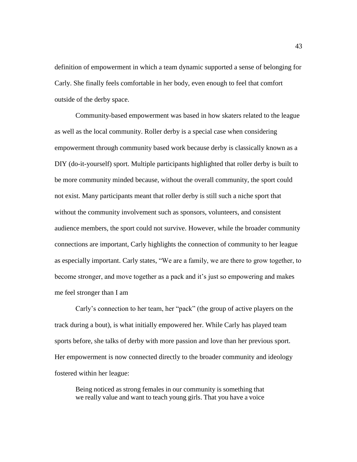definition of empowerment in which a team dynamic supported a sense of belonging for Carly. She finally feels comfortable in her body, even enough to feel that comfort outside of the derby space.

Community-based empowerment was based in how skaters related to the league as well as the local community. Roller derby is a special case when considering empowerment through community based work because derby is classically known as a DIY (do-it-yourself) sport. Multiple participants highlighted that roller derby is built to be more community minded because, without the overall community, the sport could not exist. Many participants meant that roller derby is still such a niche sport that without the community involvement such as sponsors, volunteers, and consistent audience members, the sport could not survive. However, while the broader community connections are important, Carly highlights the connection of community to her league as especially important. Carly states, "We are a family, we are there to grow together, to become stronger, and move together as a pack and it's just so empowering and makes me feel stronger than I am

Carly's connection to her team, her "pack" (the group of active players on the track during a bout), is what initially empowered her. While Carly has played team sports before, she talks of derby with more passion and love than her previous sport. Her empowerment is now connected directly to the broader community and ideology fostered within her league:

Being noticed as strong females in our community is something that we really value and want to teach young girls. That you have a voice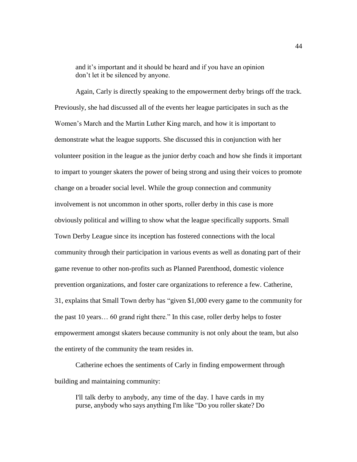and it's important and it should be heard and if you have an opinion don't let it be silenced by anyone.

Again, Carly is directly speaking to the empowerment derby brings off the track. Previously, she had discussed all of the events her league participates in such as the Women's March and the Martin Luther King march, and how it is important to demonstrate what the league supports. She discussed this in conjunction with her volunteer position in the league as the junior derby coach and how she finds it important to impart to younger skaters the power of being strong and using their voices to promote change on a broader social level. While the group connection and community involvement is not uncommon in other sports, roller derby in this case is more obviously political and willing to show what the league specifically supports. Small Town Derby League since its inception has fostered connections with the local community through their participation in various events as well as donating part of their game revenue to other non-profits such as Planned Parenthood, domestic violence prevention organizations, and foster care organizations to reference a few. Catherine, 31, explains that Small Town derby has "given \$1,000 every game to the community for the past 10 years… 60 grand right there." In this case, roller derby helps to foster empowerment amongst skaters because community is not only about the team, but also the entirety of the community the team resides in.

Catherine echoes the sentiments of Carly in finding empowerment through building and maintaining community:

I'll talk derby to anybody, any time of the day. I have cards in my purse, anybody who says anything I'm like "Do you roller skate? Do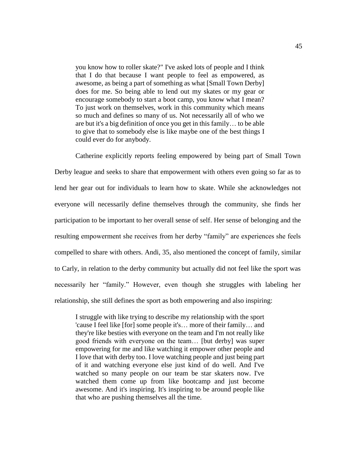you know how to roller skate?" I've asked lots of people and I think that I do that because I want people to feel as empowered, as awesome, as being a part of something as what [Small Town Derby] does for me. So being able to lend out my skates or my gear or encourage somebody to start a boot camp, you know what I mean? To just work on themselves, work in this community which means so much and defines so many of us. Not necessarily all of who we are but it's a big definition of once you get in this family… to be able to give that to somebody else is like maybe one of the best things I could ever do for anybody.

Catherine explicitly reports feeling empowered by being part of Small Town Derby league and seeks to share that empowerment with others even going so far as to lend her gear out for individuals to learn how to skate. While she acknowledges not everyone will necessarily define themselves through the community, she finds her participation to be important to her overall sense of self. Her sense of belonging and the resulting empowerment she receives from her derby "family" are experiences she feels compelled to share with others. Andi, 35, also mentioned the concept of family, similar to Carly, in relation to the derby community but actually did not feel like the sport was necessarily her "family." However, even though she struggles with labeling her relationship, she still defines the sport as both empowering and also inspiring:

I struggle with like trying to describe my relationship with the sport 'cause I feel like [for] some people it's… more of their family… and they're like besties with everyone on the team and I'm not really like good friends with everyone on the team… [but derby] was super empowering for me and like watching it empower other people and I love that with derby too. I love watching people and just being part of it and watching everyone else just kind of do well. And I've watched so many people on our team be star skaters now. I've watched them come up from like bootcamp and just become awesome. And it's inspiring. It's inspiring to be around people like that who are pushing themselves all the time.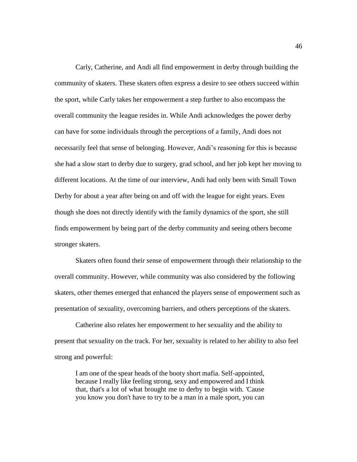Carly, Catherine, and Andi all find empowerment in derby through building the community of skaters. These skaters often express a desire to see others succeed within the sport, while Carly takes her empowerment a step further to also encompass the overall community the league resides in. While Andi acknowledges the power derby can have for some individuals through the perceptions of a family, Andi does not necessarily feel that sense of belonging. However, Andi's reasoning for this is because she had a slow start to derby due to surgery, grad school, and her job kept her moving to different locations. At the time of our interview, Andi had only been with Small Town Derby for about a year after being on and off with the league for eight years. Even though she does not directly identify with the family dynamics of the sport, she still finds empowerment by being part of the derby community and seeing others become stronger skaters.

Skaters often found their sense of empowerment through their relationship to the overall community. However, while community was also considered by the following skaters, other themes emerged that enhanced the players sense of empowerment such as presentation of sexuality, overcoming barriers, and others perceptions of the skaters.

Catherine also relates her empowerment to her sexuality and the ability to present that sexuality on the track. For her, sexuality is related to her ability to also feel strong and powerful:

I am one of the spear heads of the booty short mafia. Self-appointed, because I really like feeling strong, sexy and empowered and I think that, that's a lot of what brought me to derby to begin with. 'Cause you know you don't have to try to be a man in a male sport, you can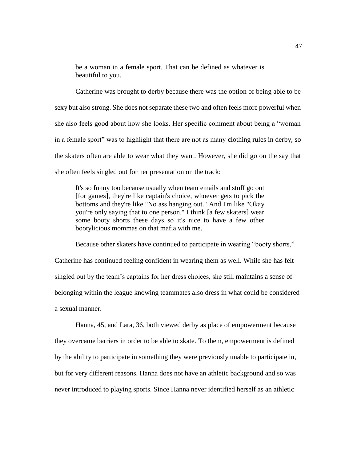be a woman in a female sport. That can be defined as whatever is beautiful to you.

Catherine was brought to derby because there was the option of being able to be sexy but also strong. She does not separate these two and often feels more powerful when she also feels good about how she looks. Her specific comment about being a "woman in a female sport" was to highlight that there are not as many clothing rules in derby, so the skaters often are able to wear what they want. However, she did go on the say that she often feels singled out for her presentation on the track:

It's so funny too because usually when team emails and stuff go out [for games], they're like captain's choice, whoever gets to pick the bottoms and they're like "No ass hanging out." And I'm like "Okay you're only saying that to one person." I think [a few skaters] wear some booty shorts these days so it's nice to have a few other bootylicious mommas on that mafia with me.

Because other skaters have continued to participate in wearing "booty shorts," Catherine has continued feeling confident in wearing them as well. While she has felt singled out by the team's captains for her dress choices, she still maintains a sense of belonging within the league knowing teammates also dress in what could be considered a sexual manner.

Hanna, 45, and Lara, 36, both viewed derby as place of empowerment because they overcame barriers in order to be able to skate. To them, empowerment is defined by the ability to participate in something they were previously unable to participate in, but for very different reasons. Hanna does not have an athletic background and so was never introduced to playing sports. Since Hanna never identified herself as an athletic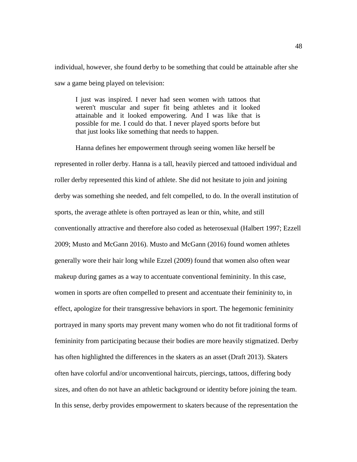individual, however, she found derby to be something that could be attainable after she saw a game being played on television:

I just was inspired. I never had seen women with tattoos that weren't muscular and super fit being athletes and it looked attainable and it looked empowering. And I was like that is possible for me. I could do that. I never played sports before but that just looks like something that needs to happen.

Hanna defines her empowerment through seeing women like herself be represented in roller derby. Hanna is a tall, heavily pierced and tattooed individual and roller derby represented this kind of athlete. She did not hesitate to join and joining derby was something she needed, and felt compelled, to do. In the overall institution of sports, the average athlete is often portrayed as lean or thin, white, and still conventionally attractive and therefore also coded as heterosexual (Halbert 1997; Ezzell 2009; Musto and McGann 2016). Musto and McGann (2016) found women athletes generally wore their hair long while Ezzel (2009) found that women also often wear makeup during games as a way to accentuate conventional femininity. In this case, women in sports are often compelled to present and accentuate their femininity to, in effect, apologize for their transgressive behaviors in sport. The hegemonic femininity portrayed in many sports may prevent many women who do not fit traditional forms of femininity from participating because their bodies are more heavily stigmatized. Derby has often highlighted the differences in the skaters as an asset (Draft 2013). Skaters often have colorful and/or unconventional haircuts, piercings, tattoos, differing body sizes, and often do not have an athletic background or identity before joining the team. In this sense, derby provides empowerment to skaters because of the representation the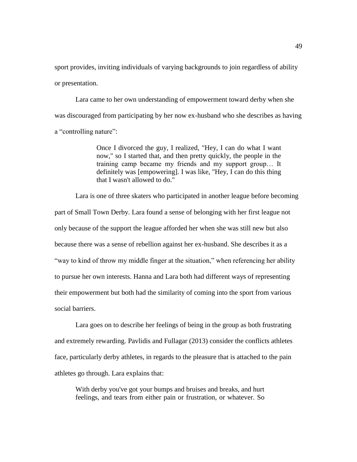sport provides, inviting individuals of varying backgrounds to join regardless of ability or presentation.

Lara came to her own understanding of empowerment toward derby when she was discouraged from participating by her now ex-husband who she describes as having a "controlling nature":

> Once I divorced the guy, I realized, "Hey, I can do what I want now," so I started that, and then pretty quickly, the people in the training camp became my friends and my support group… It definitely was [empowering]. I was like, "Hey, I can do this thing that I wasn't allowed to do."

Lara is one of three skaters who participated in another league before becoming part of Small Town Derby. Lara found a sense of belonging with her first league not only because of the support the league afforded her when she was still new but also because there was a sense of rebellion against her ex-husband. She describes it as a "way to kind of throw my middle finger at the situation," when referencing her ability to pursue her own interests. Hanna and Lara both had different ways of representing their empowerment but both had the similarity of coming into the sport from various social barriers.

Lara goes on to describe her feelings of being in the group as both frustrating and extremely rewarding. Pavlidis and Fullagar (2013) consider the conflicts athletes face, particularly derby athletes, in regards to the pleasure that is attached to the pain athletes go through. Lara explains that:

With derby you've got your bumps and bruises and breaks, and hurt feelings, and tears from either pain or frustration, or whatever. So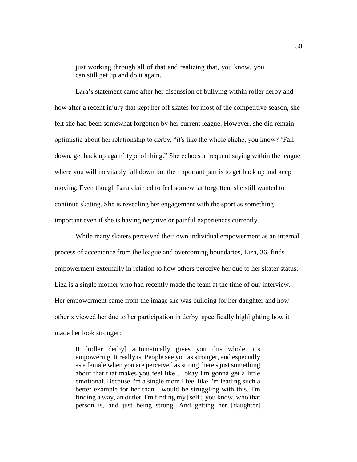just working through all of that and realizing that, you know, you can still get up and do it again.

Lara's statement came after her discussion of bullying within roller derby and how after a recent injury that kept her off skates for most of the competitive season, she felt she had been somewhat forgotten by her current league. However, she did remain optimistic about her relationship to derby, "it's like the whole cliché, you know? 'Fall down, get back up again' type of thing." She echoes a frequent saying within the league where you will inevitably fall down but the important part is to get back up and keep moving. Even though Lara claimed to feel somewhat forgotten, she still wanted to continue skating. She is revealing her engagement with the sport as something important even if she is having negative or painful experiences currently.

While many skaters perceived their own individual empowerment as an internal process of acceptance from the league and overcoming boundaries, Liza, 36, finds empowerment externally in relation to how others perceive her due to her skater status. Liza is a single mother who had recently made the team at the time of our interview. Her empowerment came from the image she was building for her daughter and how other's viewed her due to her participation in derby, specifically highlighting how it made her look stronger:

It [roller derby] automatically gives you this whole, it's empowering. It really is. People see you as stronger, and especially as a female when you are perceived as strong there's just something about that that makes you feel like… okay I'm gonna get a little emotional. Because I'm a single mom I feel like I'm leading such a better example for her than I would be struggling with this. I'm finding a way, an outlet, I'm finding my [self], you know, who that person is, and just being strong. And getting her [daughter]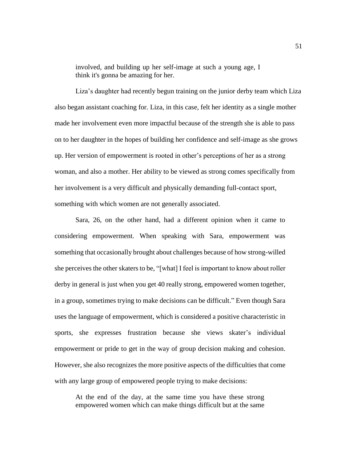involved, and building up her self-image at such a young age, I think it's gonna be amazing for her.

Liza's daughter had recently begun training on the junior derby team which Liza also began assistant coaching for. Liza, in this case, felt her identity as a single mother made her involvement even more impactful because of the strength she is able to pass on to her daughter in the hopes of building her confidence and self-image as she grows up. Her version of empowerment is rooted in other's perceptions of her as a strong woman, and also a mother. Her ability to be viewed as strong comes specifically from her involvement is a very difficult and physically demanding full-contact sport, something with which women are not generally associated.

Sara, 26, on the other hand, had a different opinion when it came to considering empowerment. When speaking with Sara, empowerment was something that occasionally brought about challenges because of how strong-willed she perceives the other skaters to be, "[what] I feel is important to know about roller derby in general is just when you get 40 really strong, empowered women together, in a group, sometimes trying to make decisions can be difficult." Even though Sara uses the language of empowerment, which is considered a positive characteristic in sports, she expresses frustration because she views skater's individual empowerment or pride to get in the way of group decision making and cohesion. However, she also recognizes the more positive aspects of the difficulties that come with any large group of empowered people trying to make decisions:

At the end of the day, at the same time you have these strong empowered women which can make things difficult but at the same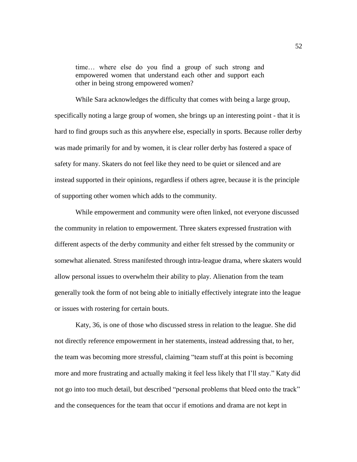time… where else do you find a group of such strong and empowered women that understand each other and support each other in being strong empowered women?

While Sara acknowledges the difficulty that comes with being a large group, specifically noting a large group of women, she brings up an interesting point - that it is hard to find groups such as this anywhere else, especially in sports. Because roller derby was made primarily for and by women, it is clear roller derby has fostered a space of safety for many. Skaters do not feel like they need to be quiet or silenced and are instead supported in their opinions, regardless if others agree, because it is the principle of supporting other women which adds to the community.

While empowerment and community were often linked, not everyone discussed the community in relation to empowerment. Three skaters expressed frustration with different aspects of the derby community and either felt stressed by the community or somewhat alienated. Stress manifested through intra-league drama, where skaters would allow personal issues to overwhelm their ability to play. Alienation from the team generally took the form of not being able to initially effectively integrate into the league or issues with rostering for certain bouts.

Katy, 36, is one of those who discussed stress in relation to the league. She did not directly reference empowerment in her statements, instead addressing that, to her, the team was becoming more stressful, claiming "team stuff at this point is becoming more and more frustrating and actually making it feel less likely that I'll stay." Katy did not go into too much detail, but described "personal problems that bleed onto the track" and the consequences for the team that occur if emotions and drama are not kept in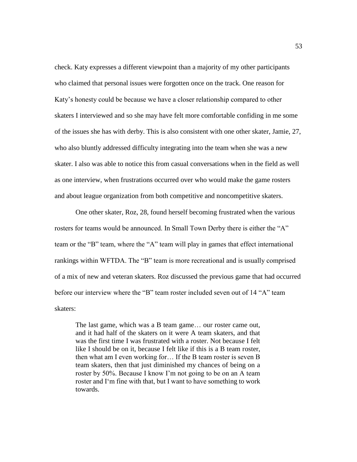check. Katy expresses a different viewpoint than a majority of my other participants who claimed that personal issues were forgotten once on the track. One reason for Katy's honesty could be because we have a closer relationship compared to other skaters I interviewed and so she may have felt more comfortable confiding in me some of the issues she has with derby. This is also consistent with one other skater, Jamie, 27, who also bluntly addressed difficulty integrating into the team when she was a new skater. I also was able to notice this from casual conversations when in the field as well as one interview, when frustrations occurred over who would make the game rosters and about league organization from both competitive and noncompetitive skaters.

One other skater, Roz, 28, found herself becoming frustrated when the various rosters for teams would be announced. In Small Town Derby there is either the "A" team or the "B" team, where the "A" team will play in games that effect international rankings within WFTDA. The "B" team is more recreational and is usually comprised of a mix of new and veteran skaters. Roz discussed the previous game that had occurred before our interview where the "B" team roster included seven out of 14 "A" team skaters:

The last game, which was a B team game… our roster came out, and it had half of the skaters on it were A team skaters, and that was the first time I was frustrated with a roster. Not because I felt like I should be on it, because I felt like if this is a B team roster, then what am I even working for… If the B team roster is seven B team skaters, then that just diminished my chances of being on a roster by 50%. Because I know I'm not going to be on an A team roster and I'm fine with that, but I want to have something to work towards.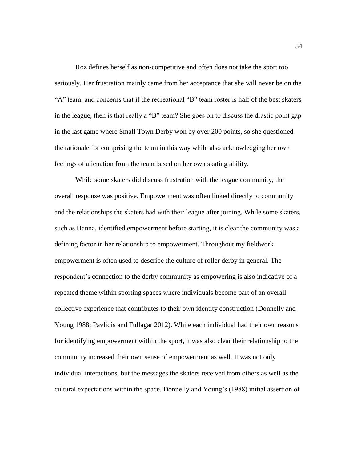Roz defines herself as non-competitive and often does not take the sport too seriously. Her frustration mainly came from her acceptance that she will never be on the "A" team, and concerns that if the recreational "B" team roster is half of the best skaters in the league, then is that really a "B" team? She goes on to discuss the drastic point gap in the last game where Small Town Derby won by over 200 points, so she questioned the rationale for comprising the team in this way while also acknowledging her own feelings of alienation from the team based on her own skating ability.

While some skaters did discuss frustration with the league community, the overall response was positive. Empowerment was often linked directly to community and the relationships the skaters had with their league after joining. While some skaters, such as Hanna, identified empowerment before starting, it is clear the community was a defining factor in her relationship to empowerment. Throughout my fieldwork empowerment is often used to describe the culture of roller derby in general. The respondent's connection to the derby community as empowering is also indicative of a repeated theme within sporting spaces where individuals become part of an overall collective experience that contributes to their own identity construction (Donnelly and Young 1988; Pavlidis and Fullagar 2012). While each individual had their own reasons for identifying empowerment within the sport, it was also clear their relationship to the community increased their own sense of empowerment as well. It was not only individual interactions, but the messages the skaters received from others as well as the cultural expectations within the space. Donnelly and Young's (1988) initial assertion of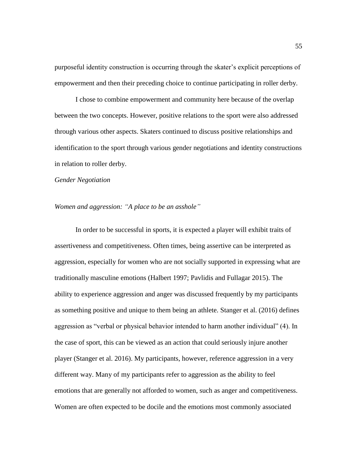purposeful identity construction is occurring through the skater's explicit perceptions of empowerment and then their preceding choice to continue participating in roller derby.

I chose to combine empowerment and community here because of the overlap between the two concepts. However, positive relations to the sport were also addressed through various other aspects. Skaters continued to discuss positive relationships and identification to the sport through various gender negotiations and identity constructions in relation to roller derby.

#### *Gender Negotiation*

#### *Women and aggression: "A place to be an asshole"*

In order to be successful in sports, it is expected a player will exhibit traits of assertiveness and competitiveness. Often times, being assertive can be interpreted as aggression, especially for women who are not socially supported in expressing what are traditionally masculine emotions (Halbert 1997; Pavlidis and Fullagar 2015). The ability to experience aggression and anger was discussed frequently by my participants as something positive and unique to them being an athlete. Stanger et al. (2016) defines aggression as "verbal or physical behavior intended to harm another individual" (4). In the case of sport, this can be viewed as an action that could seriously injure another player (Stanger et al. 2016). My participants, however, reference aggression in a very different way. Many of my participants refer to aggression as the ability to feel emotions that are generally not afforded to women, such as anger and competitiveness. Women are often expected to be docile and the emotions most commonly associated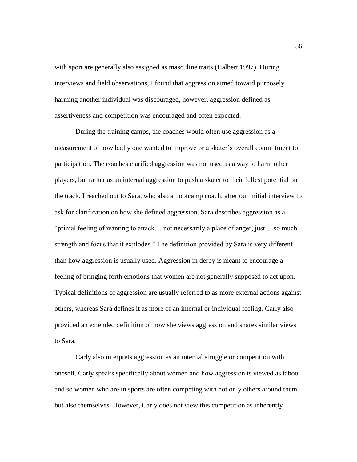with sport are generally also assigned as masculine traits (Halbert 1997). During interviews and field observations, I found that aggression aimed toward purposely harming another individual was discouraged, however, aggression defined as assertiveness and competition was encouraged and often expected.

During the training camps, the coaches would often use aggression as a measurement of how badly one wanted to improve or a skater's overall commitment to participation. The coaches clarified aggression was not used as a way to harm other players, but rather as an internal aggression to push a skater to their fullest potential on the track. I reached out to Sara, who also a bootcamp coach, after our initial interview to ask for clarification on how she defined aggression. Sara describes aggression as a "primal feeling of wanting to attack… not necessarily a place of anger, just… so much strength and focus that it explodes." The definition provided by Sara is very different than how aggression is usually used. Aggression in derby is meant to encourage a feeling of bringing forth emotions that women are not generally supposed to act upon. Typical definitions of aggression are usually referred to as more external actions against others, whereas Sara defines it as more of an internal or individual feeling. Carly also provided an extended definition of how she views aggression and shares similar views to Sara.

Carly also interprets aggression as an internal struggle or competition with oneself. Carly speaks specifically about women and how aggression is viewed as taboo and so women who are in sports are often competing with not only others around them but also themselves. However, Carly does not view this competition as inherently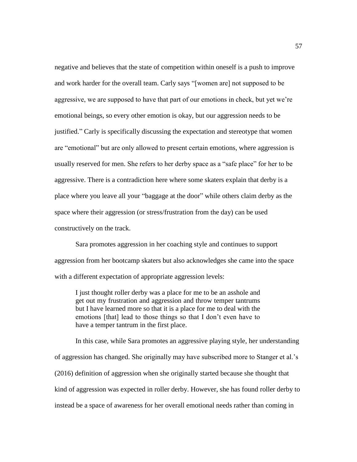negative and believes that the state of competition within oneself is a push to improve and work harder for the overall team. Carly says "[women are] not supposed to be aggressive, we are supposed to have that part of our emotions in check, but yet we're emotional beings, so every other emotion is okay, but our aggression needs to be justified." Carly is specifically discussing the expectation and stereotype that women are "emotional" but are only allowed to present certain emotions, where aggression is usually reserved for men. She refers to her derby space as a "safe place" for her to be aggressive. There is a contradiction here where some skaters explain that derby is a place where you leave all your "baggage at the door" while others claim derby as the space where their aggression (or stress/frustration from the day) can be used constructively on the track.

Sara promotes aggression in her coaching style and continues to support aggression from her bootcamp skaters but also acknowledges she came into the space with a different expectation of appropriate aggression levels:

I just thought roller derby was a place for me to be an asshole and get out my frustration and aggression and throw temper tantrums but I have learned more so that it is a place for me to deal with the emotions [that] lead to those things so that I don't even have to have a temper tantrum in the first place.

In this case, while Sara promotes an aggressive playing style, her understanding of aggression has changed. She originally may have subscribed more to Stanger et al.'s (2016) definition of aggression when she originally started because she thought that kind of aggression was expected in roller derby. However, she has found roller derby to instead be a space of awareness for her overall emotional needs rather than coming in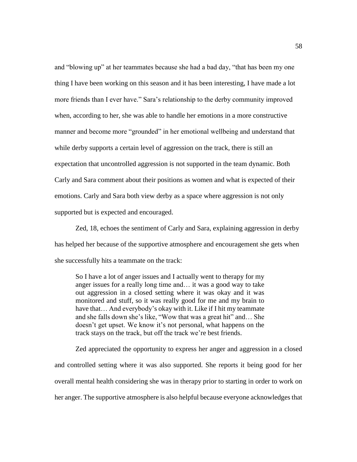and "blowing up" at her teammates because she had a bad day, "that has been my one thing I have been working on this season and it has been interesting, I have made a lot more friends than I ever have." Sara's relationship to the derby community improved when, according to her, she was able to handle her emotions in a more constructive manner and become more "grounded" in her emotional wellbeing and understand that while derby supports a certain level of aggression on the track, there is still an expectation that uncontrolled aggression is not supported in the team dynamic. Both Carly and Sara comment about their positions as women and what is expected of their emotions. Carly and Sara both view derby as a space where aggression is not only supported but is expected and encouraged.

Zed, 18, echoes the sentiment of Carly and Sara, explaining aggression in derby has helped her because of the supportive atmosphere and encouragement she gets when she successfully hits a teammate on the track:

So I have a lot of anger issues and I actually went to therapy for my anger issues for a really long time and… it was a good way to take out aggression in a closed setting where it was okay and it was monitored and stuff, so it was really good for me and my brain to have that… And everybody's okay with it. Like if I hit my teammate and she falls down she's like, "Wow that was a great hit" and… She doesn't get upset. We know it's not personal, what happens on the track stays on the track, but off the track we're best friends.

Zed appreciated the opportunity to express her anger and aggression in a closed and controlled setting where it was also supported. She reports it being good for her overall mental health considering she was in therapy prior to starting in order to work on her anger. The supportive atmosphere is also helpful because everyone acknowledges that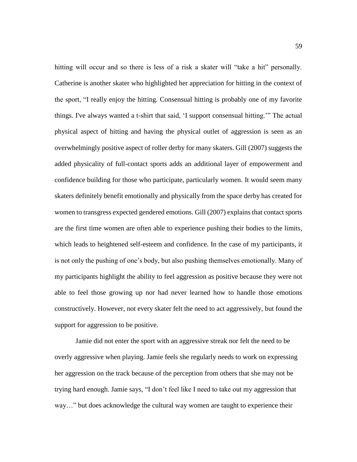hitting will occur and so there is less of a risk a skater will "take a hit" personally. Catherine is another skater who highlighted her appreciation for hitting in the context of the sport, "I really enjoy the hitting. Consensual hitting is probably one of my favorite things. I've always wanted a t-shirt that said, 'I support consensual hitting.'" The actual physical aspect of hitting and having the physical outlet of aggression is seen as an overwhelmingly positive aspect of roller derby for many skaters. Gill (2007) suggests the added physicality of full-contact sports adds an additional layer of empowerment and confidence building for those who participate, particularly women. It would seem many skaters definitely benefit emotionally and physically from the space derby has created for women to transgress expected gendered emotions. Gill (2007) explains that contact sports are the first time women are often able to experience pushing their bodies to the limits, which leads to heightened self-esteem and confidence. In the case of my participants, it is not only the pushing of one's body, but also pushing themselves emotionally. Many of my participants highlight the ability to feel aggression as positive because they were not able to feel those growing up nor had never learned how to handle those emotions constructively. However, not every skater felt the need to act aggressively, but found the support for aggression to be positive.

Jamie did not enter the sport with an aggressive streak nor felt the need to be overly aggressive when playing. Jamie feels she regularly needs to work on expressing her aggression on the track because of the perception from others that she may not be trying hard enough. Jamie says, "I don't feel like I need to take out my aggression that way…" but does acknowledge the cultural way women are taught to experience their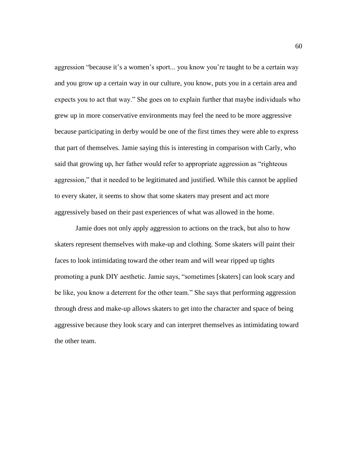aggression "because it's a women's sport... you know you're taught to be a certain way and you grow up a certain way in our culture, you know, puts you in a certain area and expects you to act that way." She goes on to explain further that maybe individuals who grew up in more conservative environments may feel the need to be more aggressive because participating in derby would be one of the first times they were able to express that part of themselves. Jamie saying this is interesting in comparison with Carly, who said that growing up, her father would refer to appropriate aggression as "righteous aggression," that it needed to be legitimated and justified. While this cannot be applied to every skater, it seems to show that some skaters may present and act more aggressively based on their past experiences of what was allowed in the home.

Jamie does not only apply aggression to actions on the track, but also to how skaters represent themselves with make-up and clothing. Some skaters will paint their faces to look intimidating toward the other team and will wear ripped up tights promoting a punk DIY aesthetic. Jamie says, "sometimes [skaters] can look scary and be like, you know a deterrent for the other team." She says that performing aggression through dress and make-up allows skaters to get into the character and space of being aggressive because they look scary and can interpret themselves as intimidating toward the other team.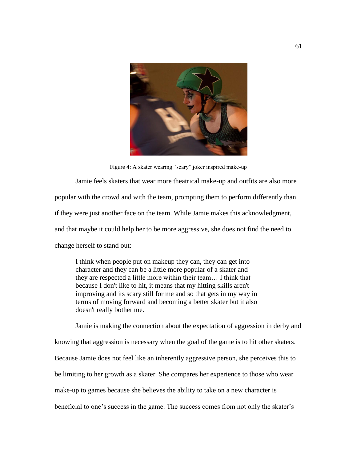

Figure 4: A skater wearing "scary" joker inspired make-up

Jamie feels skaters that wear more theatrical make-up and outfits are also more popular with the crowd and with the team, prompting them to perform differently than if they were just another face on the team. While Jamie makes this acknowledgment, and that maybe it could help her to be more aggressive, she does not find the need to change herself to stand out:

I think when people put on makeup they can, they can get into character and they can be a little more popular of a skater and they are respected a little more within their team… I think that because I don't like to hit, it means that my hitting skills aren't improving and its scary still for me and so that gets in my way in terms of moving forward and becoming a better skater but it also doesn't really bother me.

Jamie is making the connection about the expectation of aggression in derby and knowing that aggression is necessary when the goal of the game is to hit other skaters. Because Jamie does not feel like an inherently aggressive person, she perceives this to be limiting to her growth as a skater. She compares her experience to those who wear make-up to games because she believes the ability to take on a new character is beneficial to one's success in the game. The success comes from not only the skater's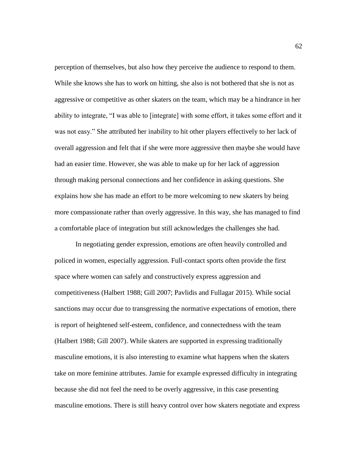perception of themselves, but also how they perceive the audience to respond to them. While she knows she has to work on hitting, she also is not bothered that she is not as aggressive or competitive as other skaters on the team, which may be a hindrance in her ability to integrate, "I was able to [integrate] with some effort, it takes some effort and it was not easy." She attributed her inability to hit other players effectively to her lack of overall aggression and felt that if she were more aggressive then maybe she would have had an easier time. However, she was able to make up for her lack of aggression through making personal connections and her confidence in asking questions. She explains how she has made an effort to be more welcoming to new skaters by being more compassionate rather than overly aggressive. In this way, she has managed to find a comfortable place of integration but still acknowledges the challenges she had.

In negotiating gender expression, emotions are often heavily controlled and policed in women, especially aggression. Full-contact sports often provide the first space where women can safely and constructively express aggression and competitiveness (Halbert 1988; Gill 2007; Pavlidis and Fullagar 2015). While social sanctions may occur due to transgressing the normative expectations of emotion, there is report of heightened self-esteem, confidence, and connectedness with the team (Halbert 1988; Gill 2007). While skaters are supported in expressing traditionally masculine emotions, it is also interesting to examine what happens when the skaters take on more feminine attributes. Jamie for example expressed difficulty in integrating because she did not feel the need to be overly aggressive, in this case presenting masculine emotions. There is still heavy control over how skaters negotiate and express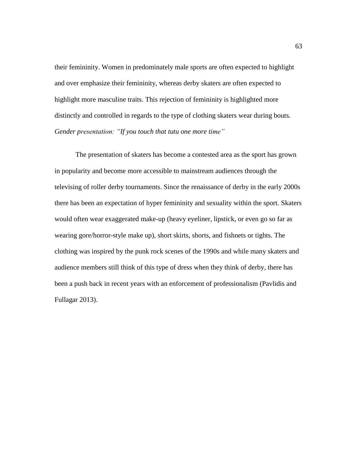their femininity. Women in predominately male sports are often expected to highlight and over emphasize their femininity, whereas derby skaters are often expected to highlight more masculine traits. This rejection of femininity is highlighted more distinctly and controlled in regards to the type of clothing skaters wear during bouts. *Gender presentation: "If you touch that tutu one more time"*

The presentation of skaters has become a contested area as the sport has grown in popularity and become more accessible to mainstream audiences through the televising of roller derby tournaments. Since the renaissance of derby in the early 2000s there has been an expectation of hyper femininity and sexuality within the sport. Skaters would often wear exaggerated make-up (heavy eyeliner, lipstick, or even go so far as wearing gore/horror-style make up), short skirts, shorts, and fishnets or tights. The clothing was inspired by the punk rock scenes of the 1990s and while many skaters and audience members still think of this type of dress when they think of derby, there has been a push back in recent years with an enforcement of professionalism (Pavlidis and Fullagar 2013).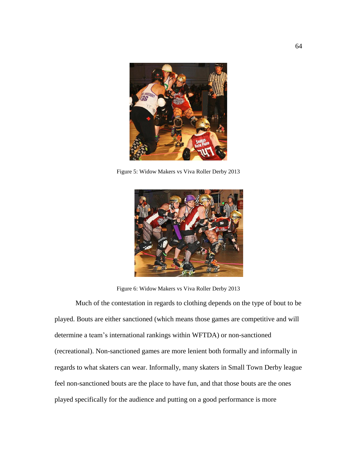

Figure 5: Widow Makers vs Viva Roller Derby 2013



Figure 6: Widow Makers vs Viva Roller Derby 2013

Much of the contestation in regards to clothing depends on the type of bout to be played. Bouts are either sanctioned (which means those games are competitive and will determine a team's international rankings within WFTDA) or non-sanctioned (recreational). Non-sanctioned games are more lenient both formally and informally in regards to what skaters can wear. Informally, many skaters in Small Town Derby league feel non-sanctioned bouts are the place to have fun, and that those bouts are the ones played specifically for the audience and putting on a good performance is more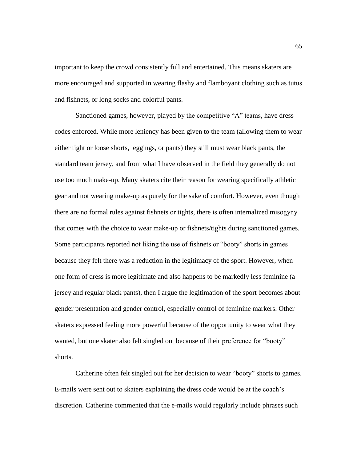important to keep the crowd consistently full and entertained. This means skaters are more encouraged and supported in wearing flashy and flamboyant clothing such as tutus and fishnets, or long socks and colorful pants.

Sanctioned games, however, played by the competitive "A" teams, have dress codes enforced. While more leniency has been given to the team (allowing them to wear either tight or loose shorts, leggings, or pants) they still must wear black pants, the standard team jersey, and from what I have observed in the field they generally do not use too much make-up. Many skaters cite their reason for wearing specifically athletic gear and not wearing make-up as purely for the sake of comfort. However, even though there are no formal rules against fishnets or tights, there is often internalized misogyny that comes with the choice to wear make-up or fishnets/tights during sanctioned games. Some participants reported not liking the use of fishnets or "booty" shorts in games because they felt there was a reduction in the legitimacy of the sport. However, when one form of dress is more legitimate and also happens to be markedly less feminine (a jersey and regular black pants), then I argue the legitimation of the sport becomes about gender presentation and gender control, especially control of feminine markers. Other skaters expressed feeling more powerful because of the opportunity to wear what they wanted, but one skater also felt singled out because of their preference for "booty" shorts.

Catherine often felt singled out for her decision to wear "booty" shorts to games. E-mails were sent out to skaters explaining the dress code would be at the coach's discretion. Catherine commented that the e-mails would regularly include phrases such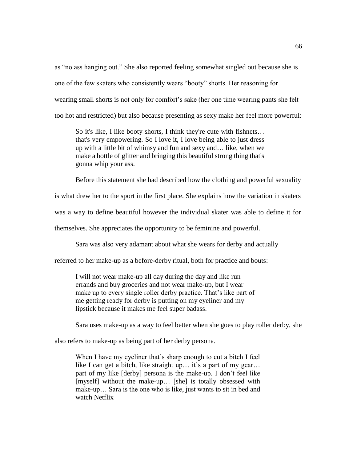as "no ass hanging out." She also reported feeling somewhat singled out because she is one of the few skaters who consistently wears "booty" shorts. Her reasoning for wearing small shorts is not only for comfort's sake (her one time wearing pants she felt too hot and restricted) but also because presenting as sexy make her feel more powerful:

So it's like, I like booty shorts, I think they're cute with fishnets... that's very empowering. So I love it, I love being able to just dress up with a little bit of whimsy and fun and sexy and… like, when we make a bottle of glitter and bringing this beautiful strong thing that's gonna whip your ass.

Before this statement she had described how the clothing and powerful sexuality

is what drew her to the sport in the first place. She explains how the variation in skaters

was a way to define beautiful however the individual skater was able to define it for

themselves. She appreciates the opportunity to be feminine and powerful.

Sara was also very adamant about what she wears for derby and actually

referred to her make-up as a before-derby ritual, both for practice and bouts:

I will not wear make-up all day during the day and like run errands and buy groceries and not wear make-up, but I wear make up to every single roller derby practice. That's like part of me getting ready for derby is putting on my eyeliner and my lipstick because it makes me feel super badass.

Sara uses make-up as a way to feel better when she goes to play roller derby, she

also refers to make-up as being part of her derby persona.

When I have my eyeliner that's sharp enough to cut a bitch I feel like I can get a bitch, like straight up... it's a part of my gear... part of my like [derby] persona is the make-up. I don't feel like [myself] without the make-up… [she] is totally obsessed with make-up… Sara is the one who is like, just wants to sit in bed and watch Netflix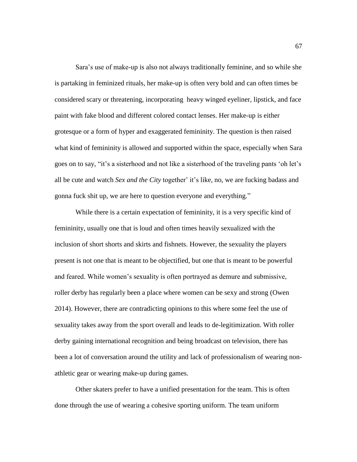Sara's use of make-up is also not always traditionally feminine, and so while she is partaking in feminized rituals, her make-up is often very bold and can often times be considered scary or threatening, incorporating heavy winged eyeliner, lipstick, and face paint with fake blood and different colored contact lenses. Her make-up is either grotesque or a form of hyper and exaggerated femininity. The question is then raised what kind of femininity is allowed and supported within the space, especially when Sara goes on to say, "it's a sisterhood and not like a sisterhood of the traveling pants 'oh let's all be cute and watch *Sex and the City* together' it's like, no, we are fucking badass and gonna fuck shit up, we are here to question everyone and everything."

While there is a certain expectation of femininity, it is a very specific kind of femininity, usually one that is loud and often times heavily sexualized with the inclusion of short shorts and skirts and fishnets. However, the sexuality the players present is not one that is meant to be objectified, but one that is meant to be powerful and feared. While women's sexuality is often portrayed as demure and submissive, roller derby has regularly been a place where women can be sexy and strong (Owen 2014). However, there are contradicting opinions to this where some feel the use of sexuality takes away from the sport overall and leads to de-legitimization. With roller derby gaining international recognition and being broadcast on television, there has been a lot of conversation around the utility and lack of professionalism of wearing nonathletic gear or wearing make-up during games.

Other skaters prefer to have a unified presentation for the team. This is often done through the use of wearing a cohesive sporting uniform. The team uniform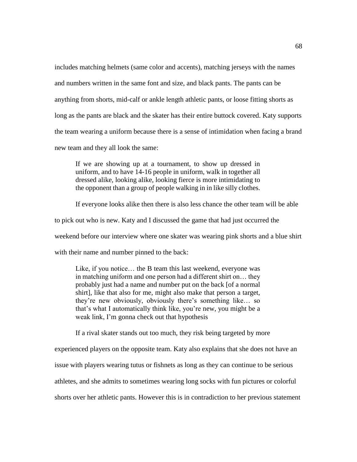includes matching helmets (same color and accents), matching jerseys with the names and numbers written in the same font and size, and black pants. The pants can be anything from shorts, mid-calf or ankle length athletic pants, or loose fitting shorts as long as the pants are black and the skater has their entire buttock covered. Katy supports the team wearing a uniform because there is a sense of intimidation when facing a brand new team and they all look the same:

If we are showing up at a tournament, to show up dressed in uniform, and to have 14-16 people in uniform, walk in together all dressed alike, looking alike, looking fierce is more intimidating to the opponent than a group of people walking in in like silly clothes.

If everyone looks alike then there is also less chance the other team will be able

to pick out who is new. Katy and I discussed the game that had just occurred the

weekend before our interview where one skater was wearing pink shorts and a blue shirt

with their name and number pinned to the back:

Like, if you notice… the B team this last weekend, everyone was in matching uniform and one person had a different shirt on… they probably just had a name and number put on the back [of a normal shirt], like that also for me*,* might also make that person a target, they're new obviously, obviously there's something like… so that's what I automatically think like, you're new, you might be a weak link, I'm gonna check out that hypothesis

If a rival skater stands out too much, they risk being targeted by more

experienced players on the opposite team. Katy also explains that she does not have an issue with players wearing tutus or fishnets as long as they can continue to be serious athletes, and she admits to sometimes wearing long socks with fun pictures or colorful shorts over her athletic pants. However this is in contradiction to her previous statement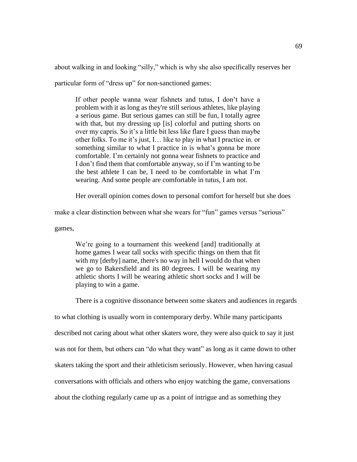about walking in and looking "silly," which is why she also specifically reserves her

particular form of "dress up" for non-sanctioned games:

If other people wanna wear fishnets and tutus, I don't have a problem with it as long as they're still serious athletes, like playing a serious game. But serious games can still be fun, I totally agree with that, but my dressing up [is] colorful and putting shorts on over my capris. So it's a little bit less like flare I guess than maybe other folks. To me it's just, I… like to play in what I practice in. or something similar to what I practice in is what's gonna be more comfortable. I'm certainly not gonna wear fishnets to practice and I don't find them that comfortable anyway, so if I'm wanting to be the best athlete I can be, I need to be comfortable in what I'm wearing. And some people are comfortable in tutus, I am not.

Her overall opinion comes down to personal comfort for herself but she does

make a clear distinction between what she wears for "fun" games versus "serious"

games,

We're going to a tournament this weekend [and] traditionally at home games I wear tall socks with specific things on them that fit with my [derby] name, there's no way in hell I would do that when we go to Bakersfield and its 80 degrees. I will be wearing my athletic shorts I will be wearing athletic short socks and I will be playing to win a game.

There is a cognitive dissonance between some skaters and audiences in regards

to what clothing is usually worn in contemporary derby. While many participants

described not caring about what other skaters wore, they were also quick to say it just

was not for them, but others can "do what they want" as long as it came down to other

skaters taking the sport and their athleticism seriously. However, when having casual

conversations with officials and others who enjoy watching the game, conversations

about the clothing regularly came up as a point of intrigue and as something they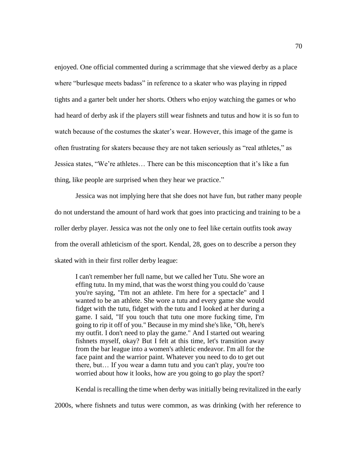enjoyed. One official commented during a scrimmage that she viewed derby as a place where "burlesque meets badass" in reference to a skater who was playing in ripped tights and a garter belt under her shorts. Others who enjoy watching the games or who had heard of derby ask if the players still wear fishnets and tutus and how it is so fun to watch because of the costumes the skater's wear. However, this image of the game is often frustrating for skaters because they are not taken seriously as "real athletes," as Jessica states, "We're athletes… There can be this misconception that it's like a fun thing, like people are surprised when they hear we practice."

Jessica was not implying here that she does not have fun, but rather many people do not understand the amount of hard work that goes into practicing and training to be a roller derby player. Jessica was not the only one to feel like certain outfits took away from the overall athleticism of the sport. Kendal, 28, goes on to describe a person they skated with in their first roller derby league:

I can't remember her full name, but we called her Tutu. She wore an effing tutu. In my mind, that was the worst thing you could do 'cause you're saying, "I'm not an athlete. I'm here for a spectacle" and I wanted to be an athlete. She wore a tutu and every game she would fidget with the tutu, fidget with the tutu and I looked at her during a game. I said, "If you touch that tutu one more fucking time, I'm going to rip it off of you." Because in my mind she's like, "Oh, here's my outfit. I don't need to play the game." And I started out wearing fishnets myself, okay? But I felt at this time, let's transition away from the bar league into a women's athletic endeavor. I'm all for the face paint and the warrior paint. Whatever you need to do to get out there, but… If you wear a damn tutu and you can't play, you're too worried about how it looks, how are you going to go play the sport?

Kendal is recalling the time when derby was initially being revitalized in the early

2000s, where fishnets and tutus were common, as was drinking (with her reference to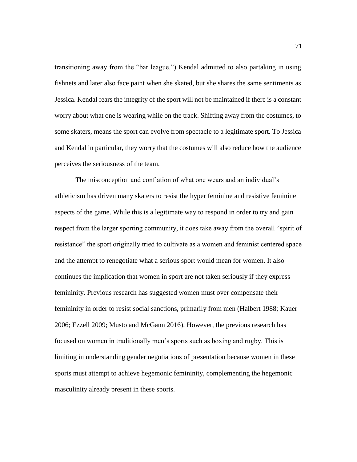transitioning away from the "bar league.") Kendal admitted to also partaking in using fishnets and later also face paint when she skated, but she shares the same sentiments as Jessica. Kendal fears the integrity of the sport will not be maintained if there is a constant worry about what one is wearing while on the track. Shifting away from the costumes, to some skaters, means the sport can evolve from spectacle to a legitimate sport. To Jessica and Kendal in particular, they worry that the costumes will also reduce how the audience perceives the seriousness of the team.

The misconception and conflation of what one wears and an individual's athleticism has driven many skaters to resist the hyper feminine and resistive feminine aspects of the game. While this is a legitimate way to respond in order to try and gain respect from the larger sporting community, it does take away from the overall "spirit of resistance" the sport originally tried to cultivate as a women and feminist centered space and the attempt to renegotiate what a serious sport would mean for women. It also continues the implication that women in sport are not taken seriously if they express femininity. Previous research has suggested women must over compensate their femininity in order to resist social sanctions, primarily from men (Halbert 1988; Kauer 2006; Ezzell 2009; Musto and McGann 2016). However, the previous research has focused on women in traditionally men's sports such as boxing and rugby. This is limiting in understanding gender negotiations of presentation because women in these sports must attempt to achieve hegemonic femininity, complementing the hegemonic masculinity already present in these sports.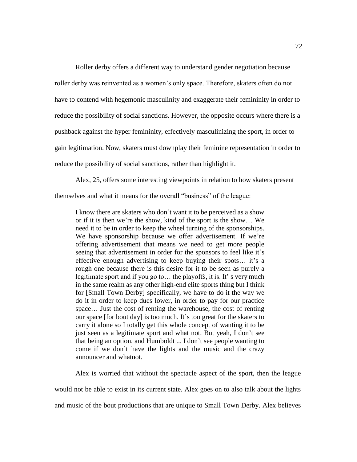Roller derby offers a different way to understand gender negotiation because roller derby was reinvented as a women's only space. Therefore, skaters often do not have to contend with hegemonic masculinity and exaggerate their femininity in order to reduce the possibility of social sanctions. However, the opposite occurs where there is a pushback against the hyper femininity, effectively masculinizing the sport, in order to gain legitimation. Now, skaters must downplay their feminine representation in order to reduce the possibility of social sanctions, rather than highlight it.

Alex, 25, offers some interesting viewpoints in relation to how skaters present themselves and what it means for the overall "business" of the league:

I know there are skaters who don't want it to be perceived as a show or if it is then we're the show, kind of the sport is the show… We need it to be in order to keep the wheel turning of the sponsorships. We have sponsorship because we offer advertisement. If we're offering advertisement that means we need to get more people seeing that advertisement in order for the sponsors to feel like it's effective enough advertising to keep buying their spots… it's a rough one because there is this desire for it to be seen as purely a legitimate sport and if you go to… the playoffs, it is. It' s very much in the same realm as any other high-end elite sports thing but I think for [Small Town Derby] specifically, we have to do it the way we do it in order to keep dues lower, in order to pay for our practice space… Just the cost of renting the warehouse, the cost of renting our space [for bout day] is too much. It's too great for the skaters to carry it alone so I totally get this whole concept of wanting it to be just seen as a legitimate sport and what not. But yeah, I don't see that being an option, and Humboldt ... I don't see people wanting to come if we don't have the lights and the music and the crazy announcer and whatnot.

Alex is worried that without the spectacle aspect of the sport, then the league would not be able to exist in its current state. Alex goes on to also talk about the lights and music of the bout productions that are unique to Small Town Derby. Alex believes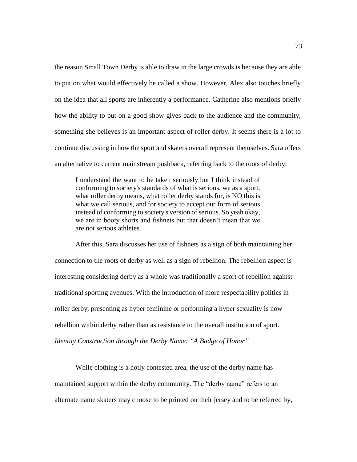the reason Small Town Derby is able to draw in the large crowds is because they are able to put on what would effectively be called a show. However, Alex also touches briefly on the idea that all sports are inherently a performance. Catherine also mentions briefly how the ability to put on a good show gives back to the audience and the community, something she believes is an important aspect of roller derby. It seems there is a lot to continue discussing in how the sport and skaters overall represent themselves. Sara offers an alternative to current mainstream pushback, referring back to the roots of derby:

I understand the want to be taken seriously but I think instead of conforming to society's standards of what is serious, we as a sport, what roller derby means, what roller derby stands for, is NO this is what we call serious, and for society to accept our form of serious instead of conforming to society's version of serious. So yeah okay, we are in booty shorts and fishnets but that doesn't mean that we are not serious athletes.

After this, Sara discusses her use of fishnets as a sign of both maintaining her connection to the roots of derby as well as a sign of rebellion. The rebellion aspect is interesting considering derby as a whole was traditionally a sport of rebellion against traditional sporting avenues. With the introduction of more respectability politics in roller derby, presenting as hyper feminine or performing a hyper sexuality is now rebellion within derby rather than as resistance to the overall institution of sport. *Identity Construction through the Derby Name: "A Badge of Honor"*

While clothing is a hotly contested area, the use of the derby name has maintained support within the derby community. The "derby name" refers to an alternate name skaters may choose to be printed on their jersey and to be referred by,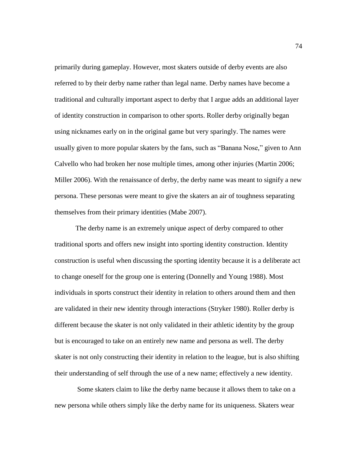primarily during gameplay. However, most skaters outside of derby events are also referred to by their derby name rather than legal name. Derby names have become a traditional and culturally important aspect to derby that I argue adds an additional layer of identity construction in comparison to other sports. Roller derby originally began using nicknames early on in the original game but very sparingly. The names were usually given to more popular skaters by the fans, such as "Banana Nose," given to Ann Calvello who had broken her nose multiple times, among other injuries (Martin 2006; Miller 2006). With the renaissance of derby, the derby name was meant to signify a new persona. These personas were meant to give the skaters an air of toughness separating themselves from their primary identities (Mabe 2007).

The derby name is an extremely unique aspect of derby compared to other traditional sports and offers new insight into sporting identity construction. Identity construction is useful when discussing the sporting identity because it is a deliberate act to change oneself for the group one is entering (Donnelly and Young 1988). Most individuals in sports construct their identity in relation to others around them and then are validated in their new identity through interactions (Stryker 1980). Roller derby is different because the skater is not only validated in their athletic identity by the group but is encouraged to take on an entirely new name and persona as well. The derby skater is not only constructing their identity in relation to the league, but is also shifting their understanding of self through the use of a new name; effectively a new identity.

Some skaters claim to like the derby name because it allows them to take on a new persona while others simply like the derby name for its uniqueness. Skaters wear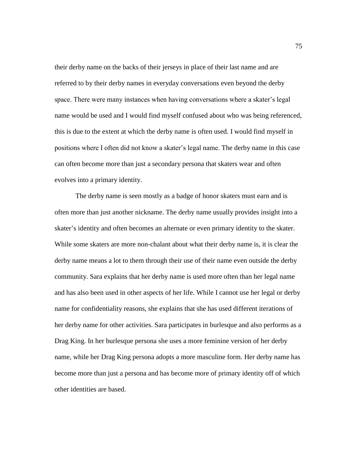their derby name on the backs of their jerseys in place of their last name and are referred to by their derby names in everyday conversations even beyond the derby space. There were many instances when having conversations where a skater's legal name would be used and I would find myself confused about who was being referenced, this is due to the extent at which the derby name is often used. I would find myself in positions where I often did not know a skater's legal name. The derby name in this case can often become more than just a secondary persona that skaters wear and often evolves into a primary identity.

The derby name is seen mostly as a badge of honor skaters must earn and is often more than just another nickname. The derby name usually provides insight into a skater's identity and often becomes an alternate or even primary identity to the skater. While some skaters are more non-chalant about what their derby name is, it is clear the derby name means a lot to them through their use of their name even outside the derby community. Sara explains that her derby name is used more often than her legal name and has also been used in other aspects of her life. While I cannot use her legal or derby name for confidentiality reasons, she explains that she has used different iterations of her derby name for other activities. Sara participates in burlesque and also performs as a Drag King. In her burlesque persona she uses a more feminine version of her derby name, while her Drag King persona adopts a more masculine form. Her derby name has become more than just a persona and has become more of primary identity off of which other identities are based.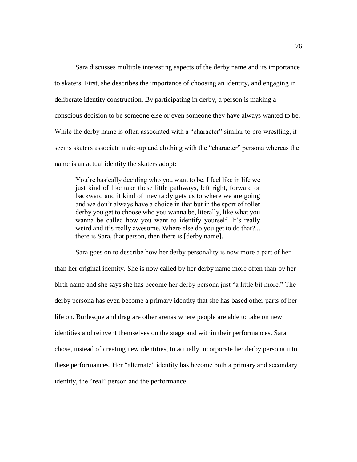Sara discusses multiple interesting aspects of the derby name and its importance to skaters. First, she describes the importance of choosing an identity, and engaging in deliberate identity construction. By participating in derby, a person is making a conscious decision to be someone else or even someone they have always wanted to be. While the derby name is often associated with a "character" similar to pro wrestling, it seems skaters associate make-up and clothing with the "character" persona whereas the name is an actual identity the skaters adopt:

You're basically deciding who you want to be. I feel like in life we just kind of like take these little pathways, left right, forward or backward and it kind of inevitably gets us to where we are going and we don't always have a choice in that but in the sport of roller derby you get to choose who you wanna be, literally, like what you wanna be called how you want to identify yourself. It's really weird and it's really awesome. Where else do you get to do that?... there is Sara, that person, then there is [derby name].

Sara goes on to describe how her derby personality is now more a part of her than her original identity. She is now called by her derby name more often than by her birth name and she says she has become her derby persona just "a little bit more." The derby persona has even become a primary identity that she has based other parts of her life on. Burlesque and drag are other arenas where people are able to take on new identities and reinvent themselves on the stage and within their performances. Sara chose, instead of creating new identities, to actually incorporate her derby persona into these performances. Her "alternate" identity has become both a primary and secondary identity, the "real" person and the performance.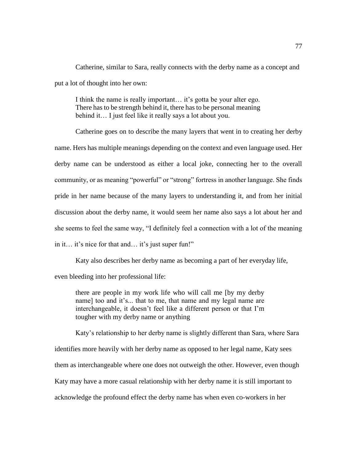Catherine, similar to Sara, really connects with the derby name as a concept and put a lot of thought into her own:

I think the name is really important… it's gotta be your alter ego. There has to be strength behind it, there has to be personal meaning behind it… I just feel like it really says a lot about you.

Catherine goes on to describe the many layers that went in to creating her derby name. Hers has multiple meanings depending on the context and even language used. Her derby name can be understood as either a local joke, connecting her to the overall community, or as meaning "powerful" or "strong" fortress in another language. She finds pride in her name because of the many layers to understanding it, and from her initial discussion about the derby name, it would seem her name also says a lot about her and she seems to feel the same way, "I definitely feel a connection with a lot of the meaning in it… it's nice for that and… it's just super fun!"

Katy also describes her derby name as becoming a part of her everyday life,

even bleeding into her professional life:

there are people in my work life who will call me [by my derby name] too and it's... that to me, that name and my legal name are interchangeable, it doesn't feel like a different person or that I'm tougher with my derby name or anything

Katy's relationship to her derby name is slightly different than Sara, where Sara identifies more heavily with her derby name as opposed to her legal name, Katy sees them as interchangeable where one does not outweigh the other. However, even though Katy may have a more casual relationship with her derby name it is still important to acknowledge the profound effect the derby name has when even co-workers in her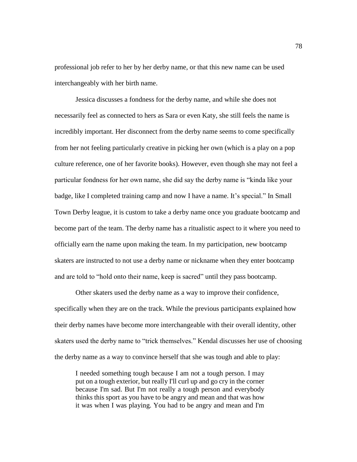professional job refer to her by her derby name, or that this new name can be used interchangeably with her birth name.

Jessica discusses a fondness for the derby name, and while she does not necessarily feel as connected to hers as Sara or even Katy, she still feels the name is incredibly important. Her disconnect from the derby name seems to come specifically from her not feeling particularly creative in picking her own (which is a play on a pop culture reference, one of her favorite books). However, even though she may not feel a particular fondness for her own name, she did say the derby name is "kinda like your badge, like I completed training camp and now I have a name. It's special." In Small Town Derby league, it is custom to take a derby name once you graduate bootcamp and become part of the team. The derby name has a ritualistic aspect to it where you need to officially earn the name upon making the team. In my participation, new bootcamp skaters are instructed to not use a derby name or nickname when they enter bootcamp and are told to "hold onto their name, keep is sacred" until they pass bootcamp.

Other skaters used the derby name as a way to improve their confidence, specifically when they are on the track. While the previous participants explained how their derby names have become more interchangeable with their overall identity, other skaters used the derby name to "trick themselves." Kendal discusses her use of choosing the derby name as a way to convince herself that she was tough and able to play:

I needed something tough because I am not a tough person. I may put on a tough exterior, but really I'll curl up and go cry in the corner because I'm sad. But I'm not really a tough person and everybody thinks this sport as you have to be angry and mean and that was how it was when I was playing. You had to be angry and mean and I'm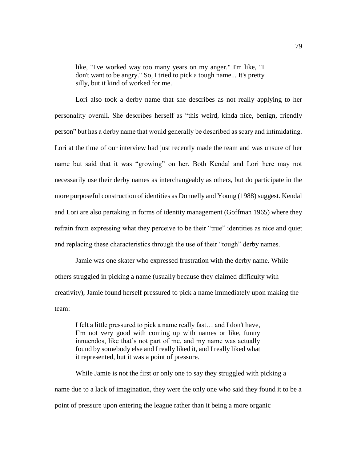like, "I've worked way too many years on my anger." I'm like, "I don't want to be angry." So, I tried to pick a tough name... It's pretty silly, but it kind of worked for me.

Lori also took a derby name that she describes as not really applying to her personality overall. She describes herself as "this weird, kinda nice, benign, friendly person" but has a derby name that would generally be described as scary and intimidating. Lori at the time of our interview had just recently made the team and was unsure of her name but said that it was "growing" on her. Both Kendal and Lori here may not necessarily use their derby names as interchangeably as others, but do participate in the more purposeful construction of identities as Donnelly and Young (1988) suggest. Kendal and Lori are also partaking in forms of identity management (Goffman 1965) where they refrain from expressing what they perceive to be their "true" identities as nice and quiet and replacing these characteristics through the use of their "tough" derby names.

Jamie was one skater who expressed frustration with the derby name. While others struggled in picking a name (usually because they claimed difficulty with creativity), Jamie found herself pressured to pick a name immediately upon making the team:

I felt a little pressured to pick a name really fast… and I don't have, I'm not very good with coming up with names or like, funny innuendos, like that's not part of me, and my name was actually found by somebody else and I really liked it, and I really liked what it represented, but it was a point of pressure.

While Jamie is not the first or only one to say they struggled with picking a name due to a lack of imagination, they were the only one who said they found it to be a point of pressure upon entering the league rather than it being a more organic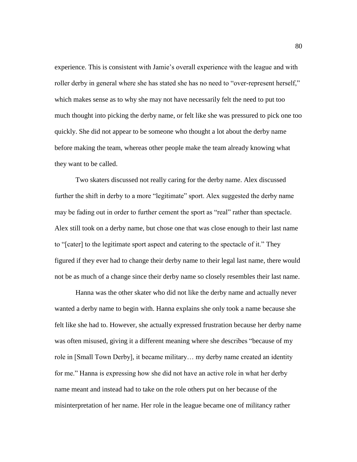experience. This is consistent with Jamie's overall experience with the league and with roller derby in general where she has stated she has no need to "over-represent herself," which makes sense as to why she may not have necessarily felt the need to put too much thought into picking the derby name, or felt like she was pressured to pick one too quickly. She did not appear to be someone who thought a lot about the derby name before making the team, whereas other people make the team already knowing what they want to be called.

Two skaters discussed not really caring for the derby name. Alex discussed further the shift in derby to a more "legitimate" sport. Alex suggested the derby name may be fading out in order to further cement the sport as "real" rather than spectacle. Alex still took on a derby name, but chose one that was close enough to their last name to "[cater] to the legitimate sport aspect and catering to the spectacle of it." They figured if they ever had to change their derby name to their legal last name, there would not be as much of a change since their derby name so closely resembles their last name.

Hanna was the other skater who did not like the derby name and actually never wanted a derby name to begin with. Hanna explains she only took a name because she felt like she had to. However, she actually expressed frustration because her derby name was often misused, giving it a different meaning where she describes "because of my role in [Small Town Derby], it became military… my derby name created an identity for me." Hanna is expressing how she did not have an active role in what her derby name meant and instead had to take on the role others put on her because of the misinterpretation of her name. Her role in the league became one of militancy rather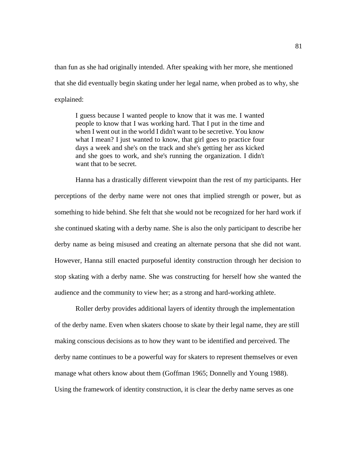than fun as she had originally intended. After speaking with her more, she mentioned that she did eventually begin skating under her legal name, when probed as to why, she explained:

I guess because I wanted people to know that it was me. I wanted people to know that I was working hard. That I put in the time and when I went out in the world I didn't want to be secretive. You know what I mean? I just wanted to know, that girl goes to practice four days a week and she's on the track and she's getting her ass kicked and she goes to work, and she's running the organization. I didn't want that to be secret.

Hanna has a drastically different viewpoint than the rest of my participants. Her perceptions of the derby name were not ones that implied strength or power, but as something to hide behind. She felt that she would not be recognized for her hard work if she continued skating with a derby name. She is also the only participant to describe her derby name as being misused and creating an alternate persona that she did not want. However, Hanna still enacted purposeful identity construction through her decision to stop skating with a derby name. She was constructing for herself how she wanted the audience and the community to view her; as a strong and hard-working athlete.

Roller derby provides additional layers of identity through the implementation of the derby name. Even when skaters choose to skate by their legal name, they are still making conscious decisions as to how they want to be identified and perceived. The derby name continues to be a powerful way for skaters to represent themselves or even manage what others know about them (Goffman 1965; Donnelly and Young 1988). Using the framework of identity construction, it is clear the derby name serves as one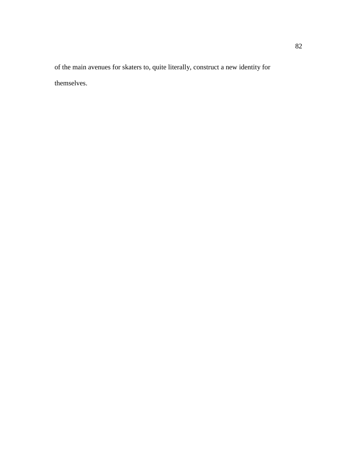of the main avenues for skaters to, quite literally, construct a new identity for themselves.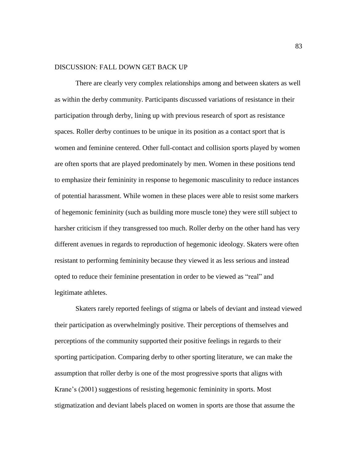## DISCUSSION: FALL DOWN GET BACK UP

There are clearly very complex relationships among and between skaters as well as within the derby community. Participants discussed variations of resistance in their participation through derby, lining up with previous research of sport as resistance spaces. Roller derby continues to be unique in its position as a contact sport that is women and feminine centered. Other full-contact and collision sports played by women are often sports that are played predominately by men. Women in these positions tend to emphasize their femininity in response to hegemonic masculinity to reduce instances of potential harassment. While women in these places were able to resist some markers of hegemonic femininity (such as building more muscle tone) they were still subject to harsher criticism if they transgressed too much. Roller derby on the other hand has very different avenues in regards to reproduction of hegemonic ideology. Skaters were often resistant to performing femininity because they viewed it as less serious and instead opted to reduce their feminine presentation in order to be viewed as "real" and legitimate athletes.

Skaters rarely reported feelings of stigma or labels of deviant and instead viewed their participation as overwhelmingly positive. Their perceptions of themselves and perceptions of the community supported their positive feelings in regards to their sporting participation. Comparing derby to other sporting literature, we can make the assumption that roller derby is one of the most progressive sports that aligns with Krane's (2001) suggestions of resisting hegemonic femininity in sports. Most stigmatization and deviant labels placed on women in sports are those that assume the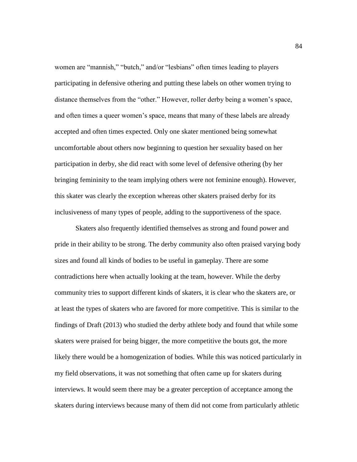women are "mannish," "butch," and/or "lesbians" often times leading to players participating in defensive othering and putting these labels on other women trying to distance themselves from the "other." However, roller derby being a women's space, and often times a queer women's space, means that many of these labels are already accepted and often times expected. Only one skater mentioned being somewhat uncomfortable about others now beginning to question her sexuality based on her participation in derby, she did react with some level of defensive othering (by her bringing femininity to the team implying others were not feminine enough). However, this skater was clearly the exception whereas other skaters praised derby for its inclusiveness of many types of people, adding to the supportiveness of the space.

Skaters also frequently identified themselves as strong and found power and pride in their ability to be strong. The derby community also often praised varying body sizes and found all kinds of bodies to be useful in gameplay. There are some contradictions here when actually looking at the team, however. While the derby community tries to support different kinds of skaters, it is clear who the skaters are, or at least the types of skaters who are favored for more competitive. This is similar to the findings of Draft (2013) who studied the derby athlete body and found that while some skaters were praised for being bigger, the more competitive the bouts got, the more likely there would be a homogenization of bodies. While this was noticed particularly in my field observations, it was not something that often came up for skaters during interviews. It would seem there may be a greater perception of acceptance among the skaters during interviews because many of them did not come from particularly athletic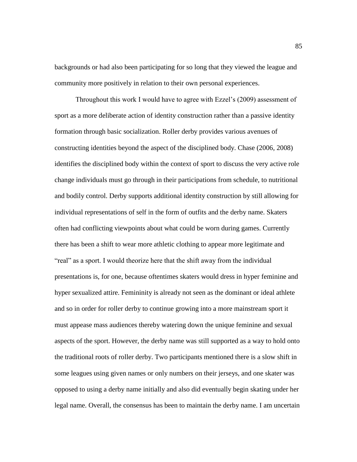backgrounds or had also been participating for so long that they viewed the league and community more positively in relation to their own personal experiences.

Throughout this work I would have to agree with Ezzel's (2009) assessment of sport as a more deliberate action of identity construction rather than a passive identity formation through basic socialization. Roller derby provides various avenues of constructing identities beyond the aspect of the disciplined body. Chase (2006, 2008) identifies the disciplined body within the context of sport to discuss the very active role change individuals must go through in their participations from schedule, to nutritional and bodily control. Derby supports additional identity construction by still allowing for individual representations of self in the form of outfits and the derby name. Skaters often had conflicting viewpoints about what could be worn during games. Currently there has been a shift to wear more athletic clothing to appear more legitimate and "real" as a sport. I would theorize here that the shift away from the individual presentations is, for one, because oftentimes skaters would dress in hyper feminine and hyper sexualized attire. Femininity is already not seen as the dominant or ideal athlete and so in order for roller derby to continue growing into a more mainstream sport it must appease mass audiences thereby watering down the unique feminine and sexual aspects of the sport. However, the derby name was still supported as a way to hold onto the traditional roots of roller derby. Two participants mentioned there is a slow shift in some leagues using given names or only numbers on their jerseys, and one skater was opposed to using a derby name initially and also did eventually begin skating under her legal name. Overall, the consensus has been to maintain the derby name. I am uncertain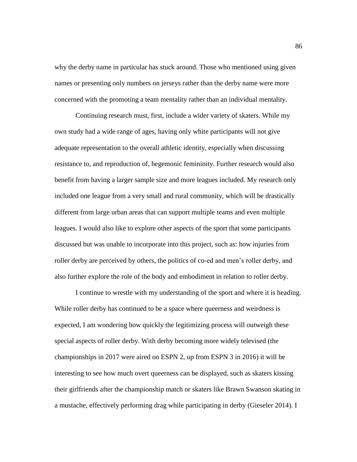why the derby name in particular has stuck around. Those who mentioned using given names or presenting only numbers on jerseys rather than the derby name were more concerned with the promoting a team mentality rather than an individual mentality.

Continuing research must, first, include a wider variety of skaters. While my own study had a wide range of ages, having only white participants will not give adequate representation to the overall athletic identity, especially when discussing resistance to, and reproduction of, hegemonic femininity. Further research would also benefit from having a larger sample size and more leagues included. My research only included one league from a very small and rural community, which will be drastically different from large urban areas that can support multiple teams and even multiple leagues. I would also like to explore other aspects of the sport that some participants discussed but was unable to incorporate into this project, such as: how injuries from roller derby are perceived by others, the politics of co-ed and men's roller derby, and also further explore the role of the body and embodiment in relation to roller derby.

I continue to wrestle with my understanding of the sport and where it is heading. While roller derby has continued to be a space where queerness and weirdness is expected, I am wondering how quickly the legitimizing process will outweigh these special aspects of roller derby. With derby becoming more widely televised (the championships in 2017 were aired on ESPN 2, up from ESPN 3 in 2016) it will be interesting to see how much overt queerness can be displayed, such as skaters kissing their girlfriends after the championship match or skaters like Brawn Swanson skating in a mustache, effectively performing drag while participating in derby (Gieseler 2014). I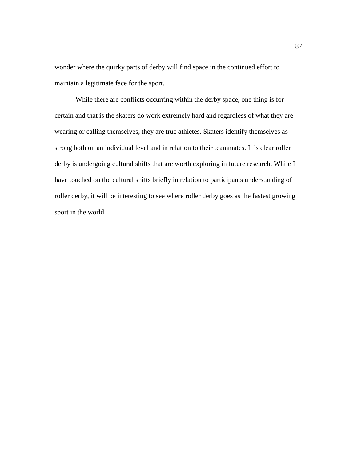wonder where the quirky parts of derby will find space in the continued effort to maintain a legitimate face for the sport.

While there are conflicts occurring within the derby space, one thing is for certain and that is the skaters do work extremely hard and regardless of what they are wearing or calling themselves, they are true athletes. Skaters identify themselves as strong both on an individual level and in relation to their teammates. It is clear roller derby is undergoing cultural shifts that are worth exploring in future research. While I have touched on the cultural shifts briefly in relation to participants understanding of roller derby, it will be interesting to see where roller derby goes as the fastest growing sport in the world.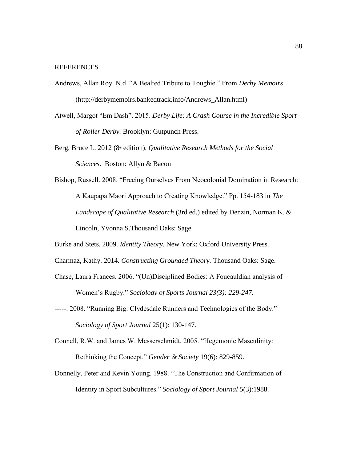## REFERENCES

- Andrews, Allan Roy. N.d. "A Bealted Tribute to Toughie." From *Derby Memoirs*  (http://derbymemoirs.bankedtrack.info/Andrews\_Allan.html)
- Atwell, Margot "Em Dash". 2015. *Derby Life: A Crash Course in the Incredible Sport of Roller Derby.* Brooklyn: Gutpunch Press.
- Berg, Bruce L. 2012 (8<sup>th</sup> edition). *Qualitative Research Methods for the Social Sciences*. Boston: Allyn & Bacon
- Bishop, Russell. 2008. "Freeing Ourselves From Neocolonial Domination in Research: A Kaupapa Maori Approach to Creating Knowledge." Pp. 154-183 in *The Landscape of Qualitative Research* (3rd ed.) edited by Denzin, Norman K. & Lincoln, Yvonna S.Thousand Oaks: Sage
- Burke and Stets. 2009. *Identity Theory.* New York: Oxford University Press.
- Charmaz, Kathy. 2014. *Constructing Grounded Theory.* Thousand Oaks: Sage.
- Chase, Laura Frances. 2006. "(Un)Disciplined Bodies: A Foucauldian analysis of Women's Rugby." *Sociology of Sports Journal 23(3): 229-247.*
- -----. 2008. "Running Big: Clydesdale Runners and Technologies of the Body." *Sociology of Sport Journal* 25(1): 130-147.
- Connell, R.W. and James W. Messerschmidt. 2005. "Hegemonic Masculinity: Rethinking the Concept." *Gender & Society* 19(6): 829-859.
- Donnelly, Peter and Kevin Young. 1988. "The Construction and Confirmation of Identity in Sport Subcultures." *Sociology of Sport Journal* 5(3):1988.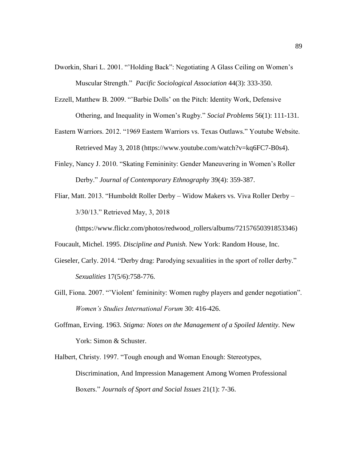- Dworkin, Shari L. 2001. "'Holding Back": Negotiating A Glass Ceiling on Women's Muscular Strength." *Pacific Sociological Association* 44(3): 333-350.
- Ezzell, Matthew B. 2009. "'Barbie Dolls' on the Pitch: Identity Work, Defensive Othering, and Inequality in Women's Rugby." *Social Problems* 56(1): 111-131.
- Eastern Warriors. 2012. "1969 Eastern Warriors vs. Texas Outlaws." Youtube Website. Retrieved May 3, 2018 (https://www.youtube.com/watch?v=kq6FC7-B0s4).
- Finley, Nancy J. 2010. "Skating Femininity: Gender Maneuvering in Women's Roller Derby." *Journal of Contemporary Ethnography* 39(4): 359-387.
- Fliar, Matt. 2013. "Humboldt Roller Derby Widow Makers vs. Viva Roller Derby 3/30/13." Retrieved May, 3, 2018

(https://www.flickr.com/photos/redwood\_rollers/albums/72157650391853346)

Foucault, Michel. 1995. *Discipline and Punish.* New York: Random House, Inc.

- Gieseler, Carly. 2014. "Derby drag: Parodying sexualities in the sport of roller derby." *Sexualities* 17(5/6):758-776.
- Gill, Fiona. 2007. "'Violent' femininity: Women rugby players and gender negotiation". *Women's Studies International Forum* 30: 416-426.
- Goffman, Erving. 1963. *Stigma: Notes on the Management of a Spoiled Identity.* New York: Simon & Schuster.
- Halbert, Christy. 1997. "Tough enough and Woman Enough: Stereotypes, Discrimination, And Impression Management Among Women Professional Boxers." *Journals of Sport and Social Issues* 21(1): 7-36.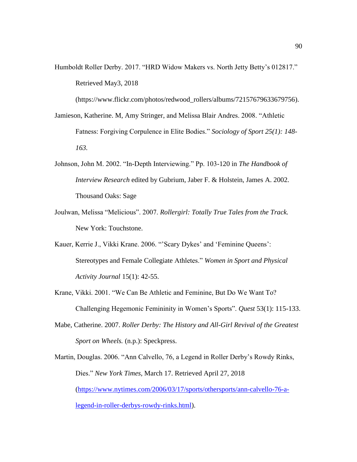Humboldt Roller Derby. 2017. "HRD Widow Makers vs. North Jetty Betty's 012817." Retrieved May3, 2018

(https://www.flickr.com/photos/redwood\_rollers/albums/72157679633679756).

- Jamieson, Katherine. M, Amy Stringer, and Melissa Blair Andres. 2008. "Athletic Fatness: Forgiving Corpulence in Elite Bodies." *Sociology of Sport 25(1): 148- 163.*
- Johnson, John M. 2002. "In-Depth Interviewing." Pp. 103-120 in *The Handbook of Interview Research* edited by Gubrium, Jaber F. & Holstein, James A. 2002. Thousand Oaks: Sage
- Joulwan, Melissa "Melicious". 2007. *Rollergirl: Totally True Tales from the Track.*  New York: Touchstone.
- Kauer, Kerrie J., Vikki Krane. 2006. "'Scary Dykes' and 'Feminine Queens': Stereotypes and Female Collegiate Athletes." *Women in Sport and Physical Activity Journal* 15(1): 42-55.
- Krane, Vikki. 2001. "We Can Be Athletic and Feminine, But Do We Want To? Challenging Hegemonic Femininity in Women's Sports". *Quest* 53(1): 115-133.
- Mabe, Catherine. 2007. *Roller Derby: The History and All-Girl Revival of the Greatest Sport on Wheels.* (n.p.): Speckpress.

Martin, Douglas. 2006. "Ann Calvello, 76, a Legend in Roller Derby's Rowdy Rinks, Dies." *New York Times,* March 17. Retrieved April 27, 2018 [\(https://www.nytimes.com/2006/03/17/sports/othersports/ann-calvello-76-a](https://www.nytimes.com/2006/03/17/sports/othersports/ann-calvello-76-a-legend-in-roller-derbys-rowdy-rinks.html)[legend-in-roller-derbys-rowdy-rinks.html\)](https://www.nytimes.com/2006/03/17/sports/othersports/ann-calvello-76-a-legend-in-roller-derbys-rowdy-rinks.html).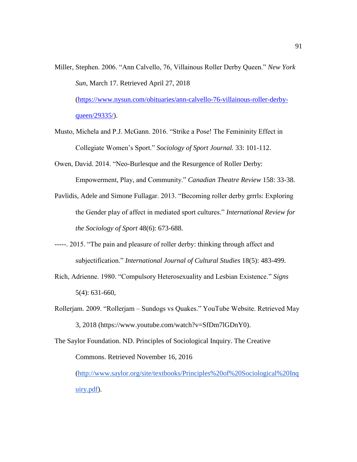- Miller, Stephen. 2006. "Ann Calvello, 76, Villainous Roller Derby Queen." *New York Sun*, March 17. Retrieved April 27, 2018 [\(https://www.nysun.com/obituaries/ann-calvello-76-villainous-roller-derby](https://www.nysun.com/obituaries/ann-calvello-76-villainous-roller-derby-queen/29335/)[queen/29335/\)](https://www.nysun.com/obituaries/ann-calvello-76-villainous-roller-derby-queen/29335/).
- Musto, Michela and P.J. McGann. 2016. "Strike a Pose! The Femininity Effect in Collegiate Women's Sport." *Sociology of Sport Journal.* 33: 101-112.
- Owen, David. 2014. "Neo-Burlesque and the Resurgence of Roller Derby: Empowerment, Play, and Community." *Canadian Theatre Review* 158: 33-38.
- Pavlidis, Adele and Simone Fullagar. 2013. "Becoming roller derby grrrls: Exploring the Gender play of affect in mediated sport cultures." *International Review for the Sociology of Sport* 48(6): 673-688.
- -----. 2015. "The pain and pleasure of roller derby: thinking through affect and subjectification." *International Journal of Cultural Studies* 18(5): 483-499.
- Rich, Adrienne. 1980. "Compulsory Heterosexuality and Lesbian Existence." *Signs*  5(4): 631-660,
- Rollerjam. 2009. "Rollerjam Sundogs vs Quakes." YouTube Website. Retrieved May 3, 2018 (https://www.youtube.com/watch?v=SfDm7lGDnY0).

The Saylor Foundation. ND. Principles of Sociological Inquiry. The Creative Commons. Retrieved November 16, 2016 [\(http://www.saylor.org/site/textbooks/Principles%20of%20Sociological%20Inq](http://www.saylor.org/site/textbooks/Principles%20of%20Sociological%20Inquiry.pdf) [uiry.pdf\)](http://www.saylor.org/site/textbooks/Principles%20of%20Sociological%20Inquiry.pdf).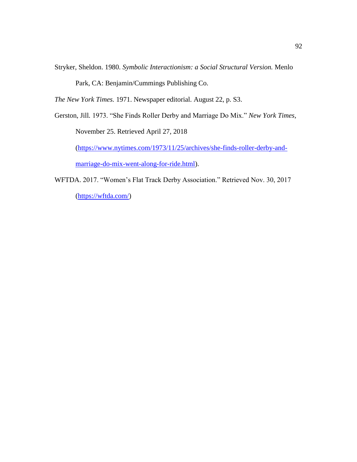Stryker, Sheldon. 1980. *Symbolic Interactionism: a Social Structural Version.* Menlo

Park, CA: Benjamin/Cummings Publishing Co.

*The New York Times.* 1971. Newspaper editorial. August 22, p. S3.

Gerston, Jill*.* 1973. "She Finds Roller Derby and Marriage Do Mix." *New York Times,* 

November 25. Retrieved April 27, 2018

[\(https://www.nytimes.com/1973/11/25/archives/she-finds-roller-derby-and](https://www.nytimes.com/1973/11/25/archives/she-finds-roller-derby-and-marriage-do-mix-went-along-for-ride.html)[marriage-do-mix-went-along-for-ride.html\)](https://www.nytimes.com/1973/11/25/archives/she-finds-roller-derby-and-marriage-do-mix-went-along-for-ride.html).

WFTDA. 2017. "Women's Flat Track Derby Association." Retrieved Nov. 30, 2017 [\(https://wftda.com/\)](https://wftda.com/)